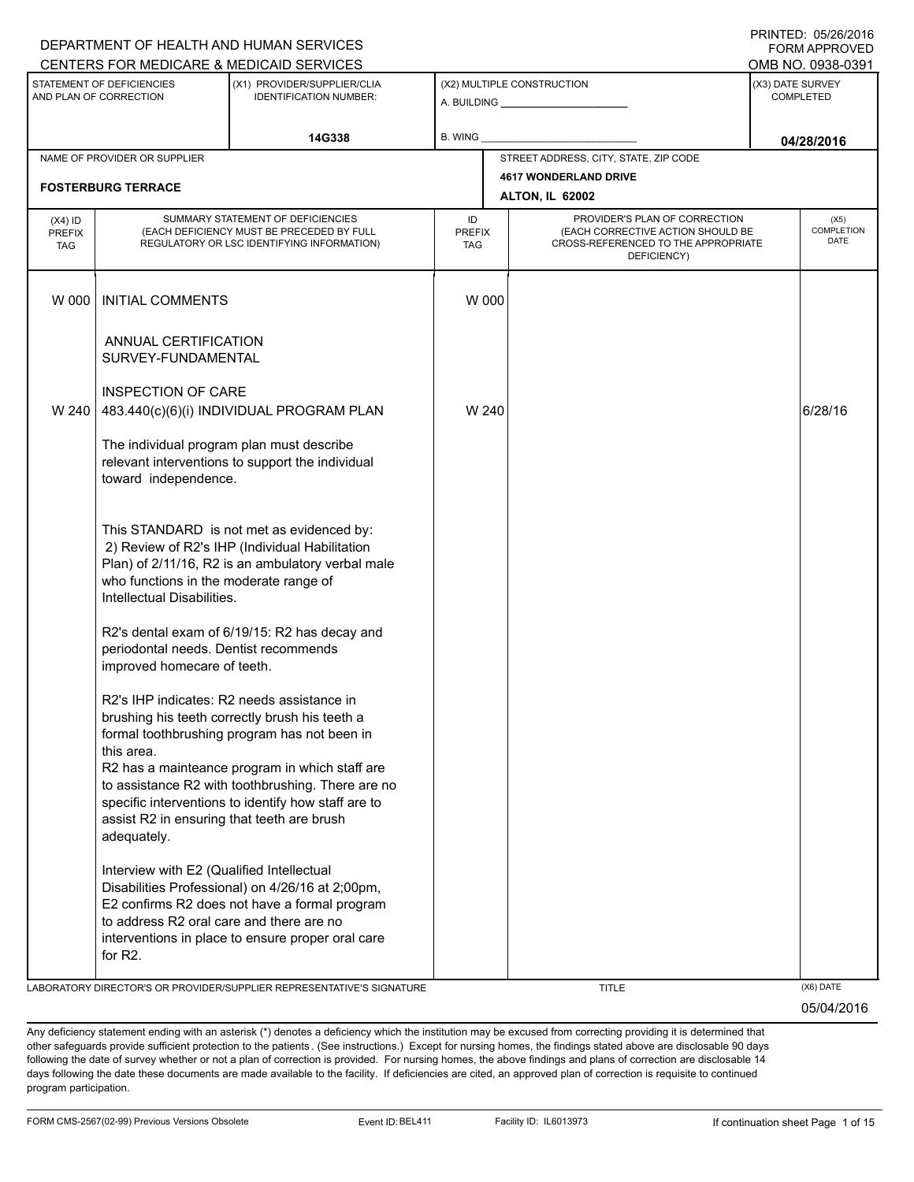|                                                     |                                                                                                  | DEPARTMENT OF HEALTH AND HUMAN SERVICES                                                                                                                    |                      |                                                              |                                                                          |            | <u>IINITED. VYZVZUJ</u><br><b>FORM APPROVED</b> |
|-----------------------------------------------------|--------------------------------------------------------------------------------------------------|------------------------------------------------------------------------------------------------------------------------------------------------------------|----------------------|--------------------------------------------------------------|--------------------------------------------------------------------------|------------|-------------------------------------------------|
|                                                     |                                                                                                  | CENTERS FOR MEDICARE & MEDICAID SERVICES                                                                                                                   |                      |                                                              |                                                                          |            | OMB NO. 0938-0391                               |
| STATEMENT OF DEFICIENCIES<br>AND PLAN OF CORRECTION |                                                                                                  | (X1) PROVIDER/SUPPLIER/CLIA<br><b>IDENTIFICATION NUMBER:</b>                                                                                               |                      | (X2) MULTIPLE CONSTRUCTION<br>A. BUILDING <b>A.</b> BUILDING |                                                                          |            | (X3) DATE SURVEY<br><b>COMPLETED</b>            |
|                                                     |                                                                                                  | 14G338                                                                                                                                                     | B. WING              |                                                              |                                                                          | 04/28/2016 |                                                 |
|                                                     | NAME OF PROVIDER OR SUPPLIER                                                                     |                                                                                                                                                            |                      |                                                              | STREET ADDRESS, CITY, STATE, ZIP CODE                                    |            |                                                 |
|                                                     |                                                                                                  |                                                                                                                                                            |                      |                                                              | <b>4617 WONDERLAND DRIVE</b>                                             |            |                                                 |
|                                                     | <b>FOSTERBURG TERRACE</b>                                                                        |                                                                                                                                                            |                      |                                                              | ALTON, IL 62002                                                          |            |                                                 |
| $(X4)$ ID                                           | SUMMARY STATEMENT OF DEFICIENCIES<br>ID                                                          |                                                                                                                                                            |                      | PROVIDER'S PLAN OF CORRECTION                                |                                                                          | (X5)       |                                                 |
| <b>PREFIX</b><br><b>TAG</b>                         | (EACH DEFICIENCY MUST BE PRECEDED BY FULL<br>REGULATORY OR LSC IDENTIFYING INFORMATION)          |                                                                                                                                                            | <b>PREFIX</b><br>TAG |                                                              | (EACH CORRECTIVE ACTION SHOULD BE<br>CROSS-REFERENCED TO THE APPROPRIATE |            | COMPLETION<br><b>DATE</b>                       |
|                                                     |                                                                                                  |                                                                                                                                                            |                      |                                                              | DEFICIENCY)                                                              |            |                                                 |
| W 000                                               | <b>INITIAL COMMENTS</b>                                                                          |                                                                                                                                                            | W 000                |                                                              |                                                                          |            |                                                 |
|                                                     | ANNUAL CERTIFICATION<br>SURVEY-FUNDAMENTAL                                                       |                                                                                                                                                            |                      |                                                              |                                                                          |            |                                                 |
|                                                     |                                                                                                  |                                                                                                                                                            |                      |                                                              |                                                                          |            |                                                 |
|                                                     | <b>INSPECTION OF CARE</b>                                                                        |                                                                                                                                                            |                      |                                                              |                                                                          |            | 6/28/16                                         |
| W 240                                               |                                                                                                  | 483.440(c)(6)(i) INDIVIDUAL PROGRAM PLAN                                                                                                                   | W 240                |                                                              |                                                                          |            |                                                 |
|                                                     | toward independence.                                                                             | The individual program plan must describe<br>relevant interventions to support the individual                                                              |                      |                                                              |                                                                          |            |                                                 |
|                                                     | who functions in the moderate range of<br>Intellectual Disabilities.                             | This STANDARD is not met as evidenced by:<br>2) Review of R2's IHP (Individual Habilitation<br>Plan) of 2/11/16, R2 is an ambulatory verbal male           |                      |                                                              |                                                                          |            |                                                 |
|                                                     | periodontal needs. Dentist recommends<br>improved homecare of teeth.                             | R2's dental exam of 6/19/15: R2 has decay and                                                                                                              |                      |                                                              |                                                                          |            |                                                 |
|                                                     | this area.                                                                                       | R2's IHP indicates: R2 needs assistance in<br>brushing his teeth correctly brush his teeth a<br>formal toothbrushing program has not been in               |                      |                                                              |                                                                          |            |                                                 |
|                                                     | assist R2 in ensuring that teeth are brush<br>adequately.                                        | R2 has a mainteance program in which staff are<br>to assistance R2 with toothbrushing. There are no<br>specific interventions to identify how staff are to |                      |                                                              |                                                                          |            |                                                 |
|                                                     | Interview with E2 (Qualified Intellectual<br>to address R2 oral care and there are no<br>for R2. | Disabilities Professional) on 4/26/16 at 2;00pm,<br>E2 confirms R2 does not have a formal program<br>interventions in place to ensure proper oral care     |                      |                                                              |                                                                          |            |                                                 |
|                                                     |                                                                                                  |                                                                                                                                                            |                      |                                                              |                                                                          |            |                                                 |
|                                                     |                                                                                                  | LABORATORY DIRECTOR'S OR PROVIDER/SUPPLIER REPRESENTATIVE'S SIGNATURE                                                                                      |                      |                                                              | <b>TITLE</b>                                                             |            | (X6) DATE                                       |

05/04/2016

PRINTED: 05/26/2016  $\overline{S}$ 

Any deficiency statement ending with an asterisk (\*) denotes a deficiency which the institution may be excused from correcting providing it is determined that other safeguards provide sufficient protection to the patients . (See instructions.) Except for nursing homes, the findings stated above are disclosable 90 days following the date of survey whether or not a plan of correction is provided. For nursing homes, the above findings and plans of correction are disclosable 14 days following the date these documents are made available to the facility. If deficiencies are cited, an approved plan of correction is requisite to continued program participation.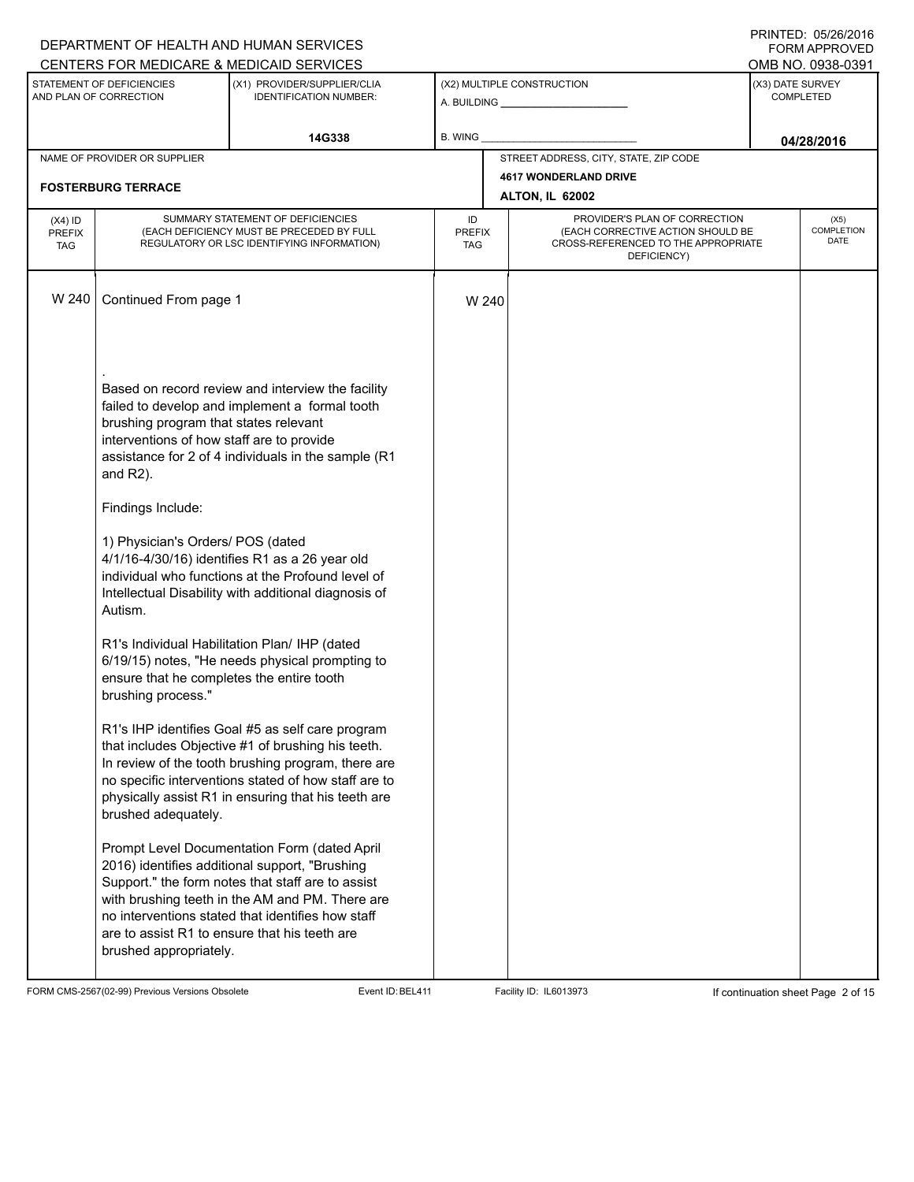|                                          |                                                                                                                                                                                                                                                                                        | DEPARTMENT OF HEALTH AND HUMAN SERVICES                                                                                                                                                                                                                                                                      |         |       |                                       |                                      | I INITILLY. 00/40/4010<br>FORM APPROVED |  |  |
|------------------------------------------|----------------------------------------------------------------------------------------------------------------------------------------------------------------------------------------------------------------------------------------------------------------------------------------|--------------------------------------------------------------------------------------------------------------------------------------------------------------------------------------------------------------------------------------------------------------------------------------------------------------|---------|-------|---------------------------------------|--------------------------------------|-----------------------------------------|--|--|
|                                          |                                                                                                                                                                                                                                                                                        | CENTERS FOR MEDICARE & MEDICAID SERVICES                                                                                                                                                                                                                                                                     |         |       |                                       |                                      | OMB NO. 0938-0391                       |  |  |
|                                          | STATEMENT OF DEFICIENCIES<br>AND PLAN OF CORRECTION                                                                                                                                                                                                                                    | (X1) PROVIDER/SUPPLIER/CLIA<br><b>IDENTIFICATION NUMBER:</b>                                                                                                                                                                                                                                                 |         |       | (X2) MULTIPLE CONSTRUCTION            | (X3) DATE SURVEY<br><b>COMPLETED</b> |                                         |  |  |
|                                          |                                                                                                                                                                                                                                                                                        | 14G338                                                                                                                                                                                                                                                                                                       | B. WING |       |                                       |                                      | 04/28/2016                              |  |  |
|                                          | NAME OF PROVIDER OR SUPPLIER                                                                                                                                                                                                                                                           |                                                                                                                                                                                                                                                                                                              |         |       | STREET ADDRESS, CITY, STATE, ZIP CODE |                                      |                                         |  |  |
| <b>FOSTERBURG TERRACE</b>                |                                                                                                                                                                                                                                                                                        |                                                                                                                                                                                                                                                                                                              |         |       | <b>4617 WONDERLAND DRIVE</b>          |                                      |                                         |  |  |
|                                          |                                                                                                                                                                                                                                                                                        |                                                                                                                                                                                                                                                                                                              |         |       | <b>ALTON, IL 62002</b>                |                                      |                                         |  |  |
| $(X4)$ ID<br><b>PREFIX</b><br><b>TAG</b> | SUMMARY STATEMENT OF DEFICIENCIES<br>PROVIDER'S PLAN OF CORRECTION<br>ID<br>(EACH CORRECTIVE ACTION SHOULD BE<br>(EACH DEFICIENCY MUST BE PRECEDED BY FULL<br><b>PREFIX</b><br>REGULATORY OR LSC IDENTIFYING INFORMATION)<br>CROSS-REFERENCED TO THE APPROPRIATE<br>TAG<br>DEFICIENCY) |                                                                                                                                                                                                                                                                                                              |         |       | (X5)<br><b>COMPLETION</b><br>DATE     |                                      |                                         |  |  |
| W 240                                    | Continued From page 1                                                                                                                                                                                                                                                                  |                                                                                                                                                                                                                                                                                                              |         | W 240 |                                       |                                      |                                         |  |  |
|                                          | brushing program that states relevant<br>interventions of how staff are to provide<br>and $R2$ ).                                                                                                                                                                                      | Based on record review and interview the facility<br>failed to develop and implement a formal tooth<br>assistance for 2 of 4 individuals in the sample (R1                                                                                                                                                   |         |       |                                       |                                      |                                         |  |  |
|                                          | Findings Include:                                                                                                                                                                                                                                                                      |                                                                                                                                                                                                                                                                                                              |         |       |                                       |                                      |                                         |  |  |
|                                          | 1) Physician's Orders/ POS (dated<br>Autism.                                                                                                                                                                                                                                           | 4/1/16-4/30/16) identifies R1 as a 26 year old<br>individual who functions at the Profound level of<br>Intellectual Disability with additional diagnosis of                                                                                                                                                  |         |       |                                       |                                      |                                         |  |  |
|                                          | ensure that he completes the entire tooth<br>brushing process."                                                                                                                                                                                                                        | R1's Individual Habilitation Plan/ IHP (dated<br>6/19/15) notes, "He needs physical prompting to                                                                                                                                                                                                             |         |       |                                       |                                      |                                         |  |  |
|                                          | brushed adequately.                                                                                                                                                                                                                                                                    | R1's IHP identifies Goal #5 as self care program<br>that includes Objective #1 of brushing his teeth.<br>In review of the tooth brushing program, there are<br>no specific interventions stated of how staff are to<br>physically assist R1 in ensuring that his teeth are                                   |         |       |                                       |                                      |                                         |  |  |
|                                          | brushed appropriately.                                                                                                                                                                                                                                                                 | Prompt Level Documentation Form (dated April<br>2016) identifies additional support, "Brushing<br>Support." the form notes that staff are to assist<br>with brushing teeth in the AM and PM. There are<br>no interventions stated that identifies how staff<br>are to assist R1 to ensure that his teeth are |         |       |                                       |                                      |                                         |  |  |

FORM CMS-2567(02-99) Previous Versions Obsolete Event ID:BEL411 Facility ID: IL6013973 If continuation sheet Page 2 of 15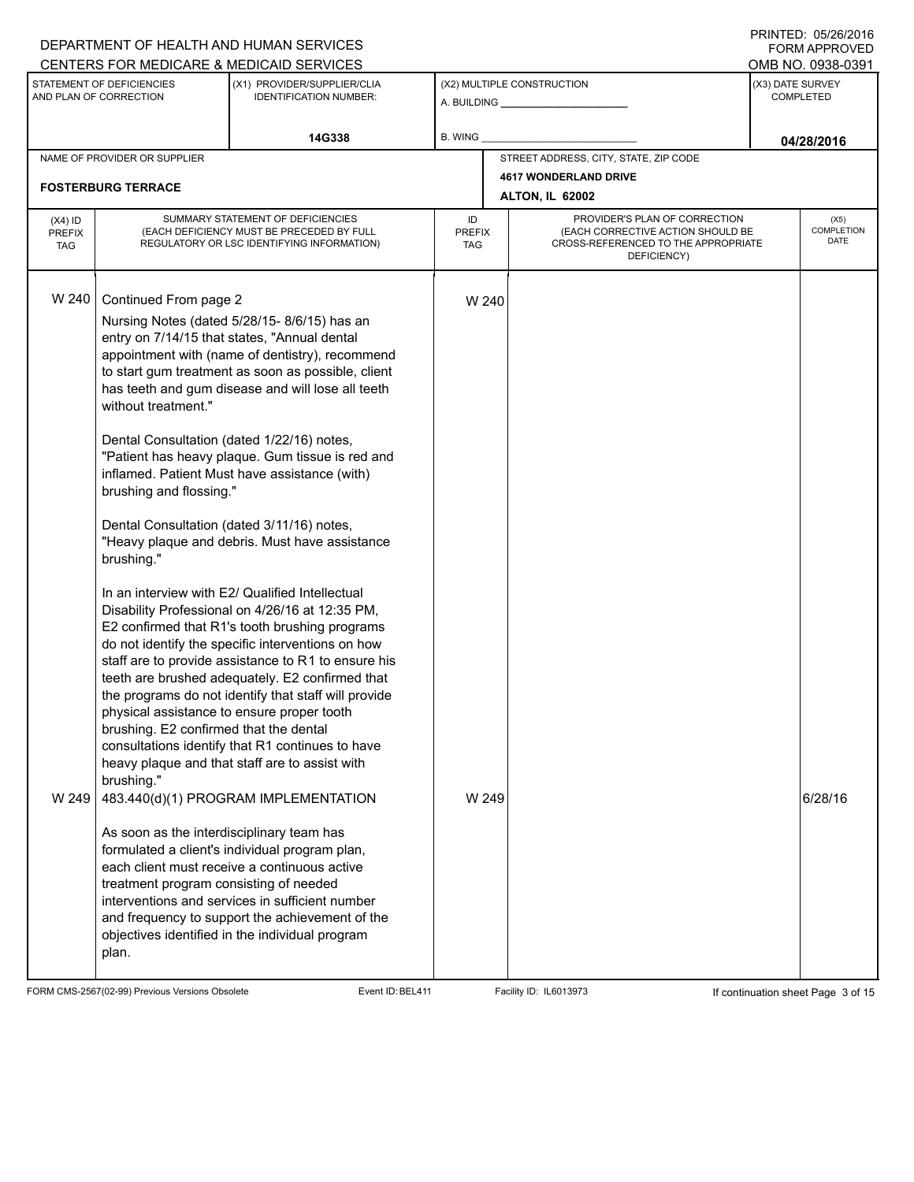#### A. BUILDING **\_\_\_\_\_\_\_\_\_\_\_\_\_\_\_\_\_\_\_\_\_\_** (X1) PROVIDER/SUPPLIER/CLIA IDENTIFICATION NUMBER: STATEMENT OF DEFICIENCIES AND PLAN OF CORRECTION (X3) DATE SURVEY COMPLETED FORM APPROVED (X2) MULTIPLE CONSTRUCTION B. WING CENTERS FOR MEDICARE & MEDICAID SERVICES **And CENTERS FOR MEDICAL ACCESS** OMB NO. 0938-0391 **14G338 04/28/2016** NAME OF PROVIDER OR SUPPLIER STREET ADDRESS, CITY, STATE, ZIP CODE **4617 WONDERLAND DRIVE FOSTERBURG TERRACE ALTON, IL 62002** PROVIDER'S PLAN OF CORRECTION (EACH CORRECTIVE ACTION SHOULD BE CROSS-REFERENCED TO THE APPROPRIATE DEFICIENCY) (X5) **COMPLETION** DATE ID PREFIX TAG (X4) ID PREFIX TAG SUMMARY STATEMENT OF DEFICIENCIES (EACH DEFICIENCY MUST BE PRECEDED BY FULL REGULATORY OR LSC IDENTIFYING INFORMATION) W 240 Continued From page 2 W 240 Nursing Notes (dated 5/28/15- 8/6/15) has an entry on 7/14/15 that states, "Annual dental appointment with (name of dentistry), recommend to start gum treatment as soon as possible, client has teeth and gum disease and will lose all teeth without treatment." Dental Consultation (dated 1/22/16) notes, "Patient has heavy plaque. Gum tissue is red and inflamed. Patient Must have assistance (with) brushing and flossing." Dental Consultation (dated 3/11/16) notes, "Heavy plaque and debris. Must have assistance brushing." In an interview with E2/ Qualified Intellectual Disability Professional on 4/26/16 at 12:35 PM, E2 confirmed that R1's tooth brushing programs do not identify the specific interventions on how staff are to provide assistance to R1 to ensure his teeth are brushed adequately. E2 confirmed that the programs do not identify that staff will provide physical assistance to ensure proper tooth brushing. E2 confirmed that the dental consultations identify that R1 continues to have heavy plaque and that staff are to assist with brushing." W 249  $\vert$  483.440(d)(1) PROGRAM IMPLEMENTATION As soon as the interdisciplinary team has formulated a client's individual program plan, each client must receive a continuous active treatment program consisting of needed interventions and services in sufficient number and frequency to support the achievement of the objectives identified in the individual program plan.  $W 249$  6/28/16

FORM CMS-2567(02-99) Previous Versions Obsolete Event ID:BEL411 Facility ID: IL6013973 If continuation sheet Page 3 of 15

DEPARTMENT OF HEALTH AND HUMAN SERVICES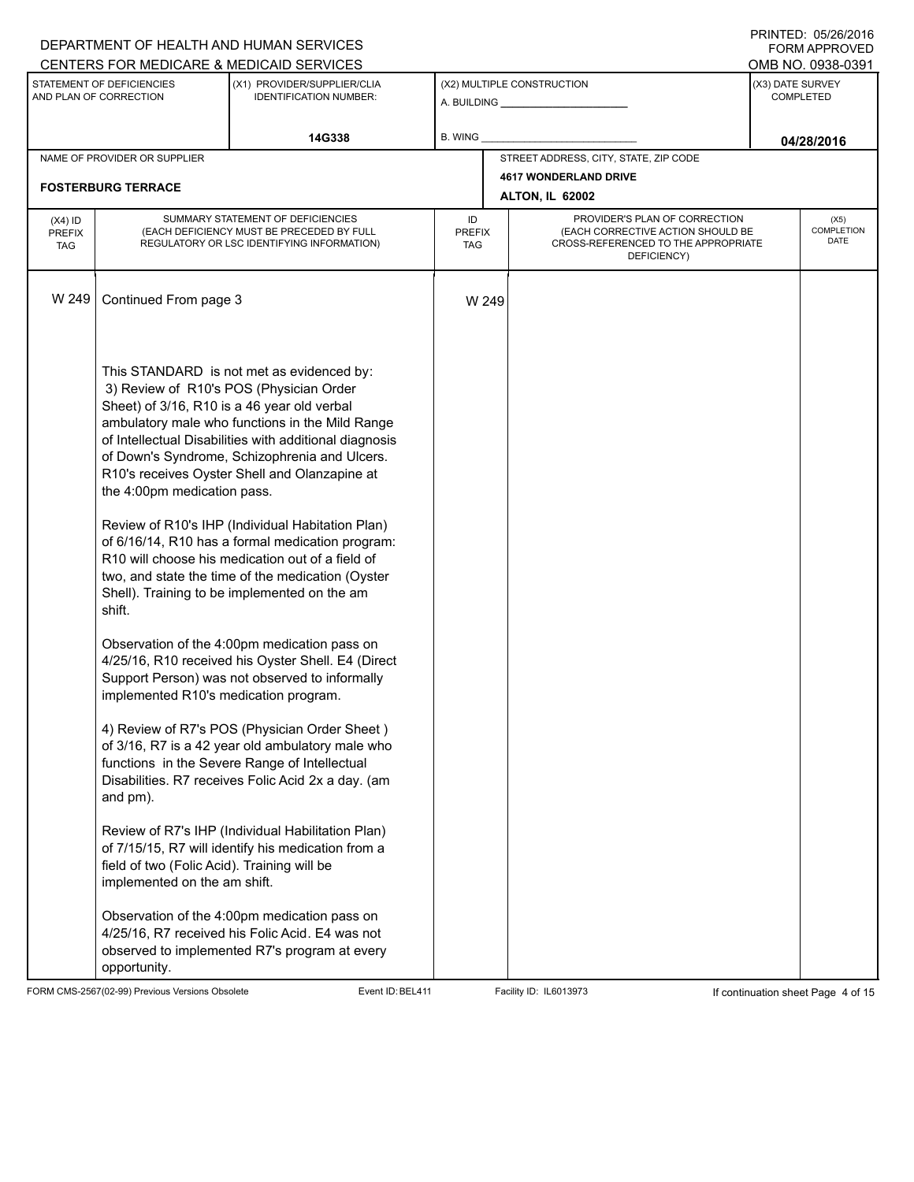|               |                                                                          | DEPARTMENT OF HEALTH AND HUMAN SERVICES                                                              |                      |  |                                                                          |                  | FORM APPROVED             |  |  |
|---------------|--------------------------------------------------------------------------|------------------------------------------------------------------------------------------------------|----------------------|--|--------------------------------------------------------------------------|------------------|---------------------------|--|--|
|               |                                                                          | CENTERS FOR MEDICARE & MEDICAID SERVICES                                                             |                      |  |                                                                          |                  | OMB NO. 0938-0391         |  |  |
|               | STATEMENT OF DEFICIENCIES<br>AND PLAN OF CORRECTION                      | (X1) PROVIDER/SUPPLIER/CLIA<br><b>IDENTIFICATION NUMBER:</b>                                         |                      |  | (X2) MULTIPLE CONSTRUCTION                                               | (X3) DATE SURVEY | <b>COMPLETED</b>          |  |  |
|               |                                                                          | 14G338                                                                                               | B. WING              |  |                                                                          |                  | 04/28/2016                |  |  |
|               | NAME OF PROVIDER OR SUPPLIER                                             |                                                                                                      |                      |  | STREET ADDRESS, CITY, STATE, ZIP CODE                                    |                  |                           |  |  |
|               |                                                                          |                                                                                                      |                      |  | <b>4617 WONDERLAND DRIVE</b>                                             |                  |                           |  |  |
|               | <b>FOSTERBURG TERRACE</b>                                                |                                                                                                      |                      |  | <b>ALTON, IL 62002</b>                                                   |                  |                           |  |  |
| $(X4)$ ID     | SUMMARY STATEMENT OF DEFICIENCIES<br>PROVIDER'S PLAN OF CORRECTION<br>ID |                                                                                                      |                      |  |                                                                          | (X5)             |                           |  |  |
| <b>PREFIX</b> |                                                                          | (EACH DEFICIENCY MUST BE PRECEDED BY FULL<br>REGULATORY OR LSC IDENTIFYING INFORMATION)              | <b>PREFIX</b><br>TAG |  | (EACH CORRECTIVE ACTION SHOULD BE<br>CROSS-REFERENCED TO THE APPROPRIATE |                  | <b>COMPLETION</b><br>DATE |  |  |
| <b>TAG</b>    |                                                                          |                                                                                                      |                      |  | DEFICIENCY)                                                              |                  |                           |  |  |
|               |                                                                          |                                                                                                      |                      |  |                                                                          |                  |                           |  |  |
| W 249         | Continued From page 3                                                    |                                                                                                      | W 249                |  |                                                                          |                  |                           |  |  |
|               |                                                                          |                                                                                                      |                      |  |                                                                          |                  |                           |  |  |
|               |                                                                          |                                                                                                      |                      |  |                                                                          |                  |                           |  |  |
|               |                                                                          |                                                                                                      |                      |  |                                                                          |                  |                           |  |  |
|               |                                                                          | This STANDARD is not met as evidenced by:                                                            |                      |  |                                                                          |                  |                           |  |  |
|               |                                                                          | 3) Review of R10's POS (Physician Order                                                              |                      |  |                                                                          |                  |                           |  |  |
|               | Sheet) of 3/16, R10 is a 46 year old verbal                              | ambulatory male who functions in the Mild Range                                                      |                      |  |                                                                          |                  |                           |  |  |
|               |                                                                          | of Intellectual Disabilities with additional diagnosis                                               |                      |  |                                                                          |                  |                           |  |  |
|               |                                                                          | of Down's Syndrome, Schizophrenia and Ulcers.                                                        |                      |  |                                                                          |                  |                           |  |  |
|               |                                                                          | R10's receives Oyster Shell and Olanzapine at                                                        |                      |  |                                                                          |                  |                           |  |  |
|               | the 4:00pm medication pass.                                              |                                                                                                      |                      |  |                                                                          |                  |                           |  |  |
|               |                                                                          |                                                                                                      |                      |  |                                                                          |                  |                           |  |  |
|               |                                                                          | Review of R10's IHP (Individual Habitation Plan)<br>of 6/16/14, R10 has a formal medication program: |                      |  |                                                                          |                  |                           |  |  |
|               |                                                                          | R10 will choose his medication out of a field of                                                     |                      |  |                                                                          |                  |                           |  |  |
|               |                                                                          | two, and state the time of the medication (Oyster                                                    |                      |  |                                                                          |                  |                           |  |  |
|               |                                                                          | Shell). Training to be implemented on the am                                                         |                      |  |                                                                          |                  |                           |  |  |
|               | shift.                                                                   |                                                                                                      |                      |  |                                                                          |                  |                           |  |  |
|               |                                                                          |                                                                                                      |                      |  |                                                                          |                  |                           |  |  |
|               |                                                                          | Observation of the 4:00pm medication pass on<br>4/25/16, R10 received his Oyster Shell. E4 (Direct   |                      |  |                                                                          |                  |                           |  |  |
|               |                                                                          | Support Person) was not observed to informally                                                       |                      |  |                                                                          |                  |                           |  |  |
|               | implemented R10's medication program.                                    |                                                                                                      |                      |  |                                                                          |                  |                           |  |  |
|               |                                                                          |                                                                                                      |                      |  |                                                                          |                  |                           |  |  |
|               |                                                                          | 4) Review of R7's POS (Physician Order Sheet)                                                        |                      |  |                                                                          |                  |                           |  |  |
|               |                                                                          | of 3/16, R7 is a 42 year old ambulatory male who                                                     |                      |  |                                                                          |                  |                           |  |  |
|               |                                                                          | functions in the Severe Range of Intellectual                                                        |                      |  |                                                                          |                  |                           |  |  |
|               |                                                                          | Disabilities. R7 receives Folic Acid 2x a day. (am                                                   |                      |  |                                                                          |                  |                           |  |  |
|               | and pm).                                                                 |                                                                                                      |                      |  |                                                                          |                  |                           |  |  |
|               |                                                                          | Review of R7's IHP (Individual Habilitation Plan)                                                    |                      |  |                                                                          |                  |                           |  |  |
|               |                                                                          | of 7/15/15, R7 will identify his medication from a                                                   |                      |  |                                                                          |                  |                           |  |  |
|               | field of two (Folic Acid). Training will be                              |                                                                                                      |                      |  |                                                                          |                  |                           |  |  |
|               | implemented on the am shift.                                             |                                                                                                      |                      |  |                                                                          |                  |                           |  |  |
|               |                                                                          | Observation of the 4:00pm medication pass on                                                         |                      |  |                                                                          |                  |                           |  |  |
|               |                                                                          | 4/25/16, R7 received his Folic Acid. E4 was not                                                      |                      |  |                                                                          |                  |                           |  |  |
|               |                                                                          | observed to implemented R7's program at every                                                        |                      |  |                                                                          |                  |                           |  |  |
|               | opportunity.                                                             |                                                                                                      |                      |  |                                                                          |                  |                           |  |  |

FORM CMS-2567(02-99) Previous Versions Obsolete Event ID:BEL411 Facility ID: IL6013973 If continuation sheet Page 4 of 15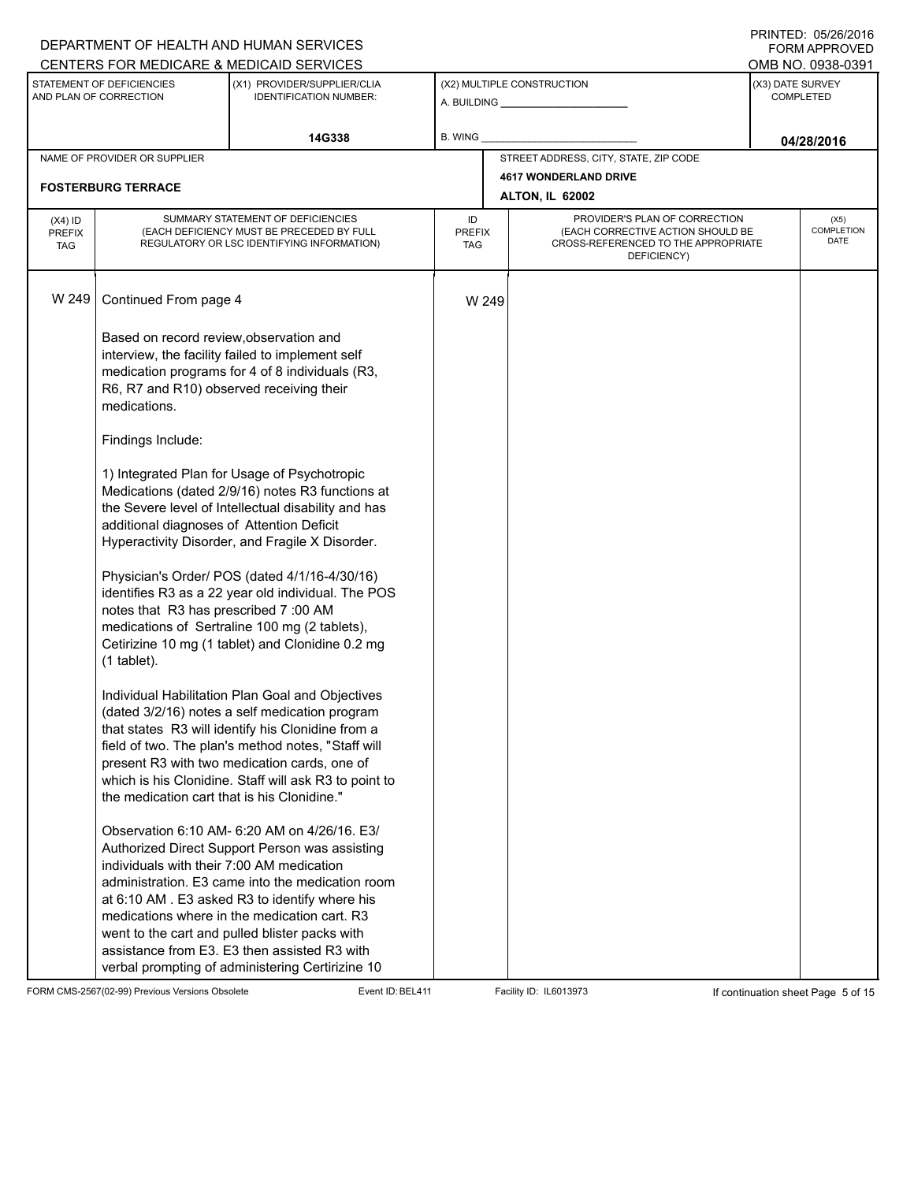|                                                     |                                                                                                                                                                                                                                                                               | DEPARTMENT OF HEALTH AND HUMAN SERVICES                                                                                                                                                                                                                                                                                                                                                                                                                                                                                                                                                                                                                                                                                                                                                                                                                                                                 |                                   |                                                                                                                          |                  | I INITILLY. 00/40/4010<br><b>FORM APPROVED</b> |
|-----------------------------------------------------|-------------------------------------------------------------------------------------------------------------------------------------------------------------------------------------------------------------------------------------------------------------------------------|---------------------------------------------------------------------------------------------------------------------------------------------------------------------------------------------------------------------------------------------------------------------------------------------------------------------------------------------------------------------------------------------------------------------------------------------------------------------------------------------------------------------------------------------------------------------------------------------------------------------------------------------------------------------------------------------------------------------------------------------------------------------------------------------------------------------------------------------------------------------------------------------------------|-----------------------------------|--------------------------------------------------------------------------------------------------------------------------|------------------|------------------------------------------------|
|                                                     |                                                                                                                                                                                                                                                                               | CENTERS FOR MEDICARE & MEDICAID SERVICES                                                                                                                                                                                                                                                                                                                                                                                                                                                                                                                                                                                                                                                                                                                                                                                                                                                                |                                   |                                                                                                                          |                  | OMB NO. 0938-0391                              |
| STATEMENT OF DEFICIENCIES<br>AND PLAN OF CORRECTION |                                                                                                                                                                                                                                                                               | (X1) PROVIDER/SUPPLIER/CLIA<br><b>IDENTIFICATION NUMBER:</b>                                                                                                                                                                                                                                                                                                                                                                                                                                                                                                                                                                                                                                                                                                                                                                                                                                            |                                   | (X2) MULTIPLE CONSTRUCTION                                                                                               | (X3) DATE SURVEY | <b>COMPLETED</b>                               |
|                                                     |                                                                                                                                                                                                                                                                               | 14G338                                                                                                                                                                                                                                                                                                                                                                                                                                                                                                                                                                                                                                                                                                                                                                                                                                                                                                  | B. WING                           |                                                                                                                          |                  | 04/28/2016                                     |
|                                                     | NAME OF PROVIDER OR SUPPLIER                                                                                                                                                                                                                                                  |                                                                                                                                                                                                                                                                                                                                                                                                                                                                                                                                                                                                                                                                                                                                                                                                                                                                                                         |                                   | STREET ADDRESS, CITY, STATE, ZIP CODE                                                                                    |                  |                                                |
|                                                     | <b>FOSTERBURG TERRACE</b>                                                                                                                                                                                                                                                     |                                                                                                                                                                                                                                                                                                                                                                                                                                                                                                                                                                                                                                                                                                                                                                                                                                                                                                         |                                   | <b>4617 WONDERLAND DRIVE</b>                                                                                             |                  |                                                |
|                                                     |                                                                                                                                                                                                                                                                               |                                                                                                                                                                                                                                                                                                                                                                                                                                                                                                                                                                                                                                                                                                                                                                                                                                                                                                         |                                   | ALTON, IL 62002                                                                                                          |                  |                                                |
| $(X4)$ ID<br><b>PREFIX</b><br><b>TAG</b>            |                                                                                                                                                                                                                                                                               | SUMMARY STATEMENT OF DEFICIENCIES<br>(EACH DEFICIENCY MUST BE PRECEDED BY FULL<br>REGULATORY OR LSC IDENTIFYING INFORMATION)                                                                                                                                                                                                                                                                                                                                                                                                                                                                                                                                                                                                                                                                                                                                                                            | ID<br><b>PREFIX</b><br><b>TAG</b> | PROVIDER'S PLAN OF CORRECTION<br>(EACH CORRECTIVE ACTION SHOULD BE<br>CROSS-REFERENCED TO THE APPROPRIATE<br>DEFICIENCY) |                  | (X5)<br><b>COMPLETION</b><br>DATE              |
| W 249                                               | Continued From page 4                                                                                                                                                                                                                                                         |                                                                                                                                                                                                                                                                                                                                                                                                                                                                                                                                                                                                                                                                                                                                                                                                                                                                                                         | W 249                             |                                                                                                                          |                  |                                                |
|                                                     | Based on record review, observation and<br>R6, R7 and R10) observed receiving their<br>medications.<br>Findings Include:<br>additional diagnoses of Attention Deficit<br>notes that R3 has prescribed 7:00 AM<br>$(1$ tablet).<br>the medication cart that is his Clonidine." | interview, the facility failed to implement self<br>medication programs for 4 of 8 individuals (R3,<br>1) Integrated Plan for Usage of Psychotropic<br>Medications (dated 2/9/16) notes R3 functions at<br>the Severe level of Intellectual disability and has<br>Hyperactivity Disorder, and Fragile X Disorder.<br>Physician's Order/ POS (dated 4/1/16-4/30/16)<br>identifies R3 as a 22 year old individual. The POS<br>medications of Sertraline 100 mg (2 tablets),<br>Cetirizine 10 mg (1 tablet) and Clonidine 0.2 mg<br>Individual Habilitation Plan Goal and Objectives<br>(dated 3/2/16) notes a self medication program<br>that states R3 will identify his Clonidine from a<br>field of two. The plan's method notes, "Staff will<br>present R3 with two medication cards, one of<br>which is his Clonidine. Staff will ask R3 to point to<br>Observation 6:10 AM- 6:20 AM on 4/26/16. E3/ |                                   |                                                                                                                          |                  |                                                |
|                                                     | individuals with their 7:00 AM medication                                                                                                                                                                                                                                     | Authorized Direct Support Person was assisting<br>administration. E3 came into the medication room<br>at 6:10 AM. E3 asked R3 to identify where his<br>medications where in the medication cart. R3<br>went to the cart and pulled blister packs with<br>assistance from E3. E3 then assisted R3 with<br>verbal prompting of administering Certirizine 10                                                                                                                                                                                                                                                                                                                                                                                                                                                                                                                                               |                                   |                                                                                                                          |                  |                                                |

FORM CMS-2567(02-99) Previous Versions Obsolete Event ID:BEL411 Facility ID: IL6013973 If continuation sheet Page 5 of 15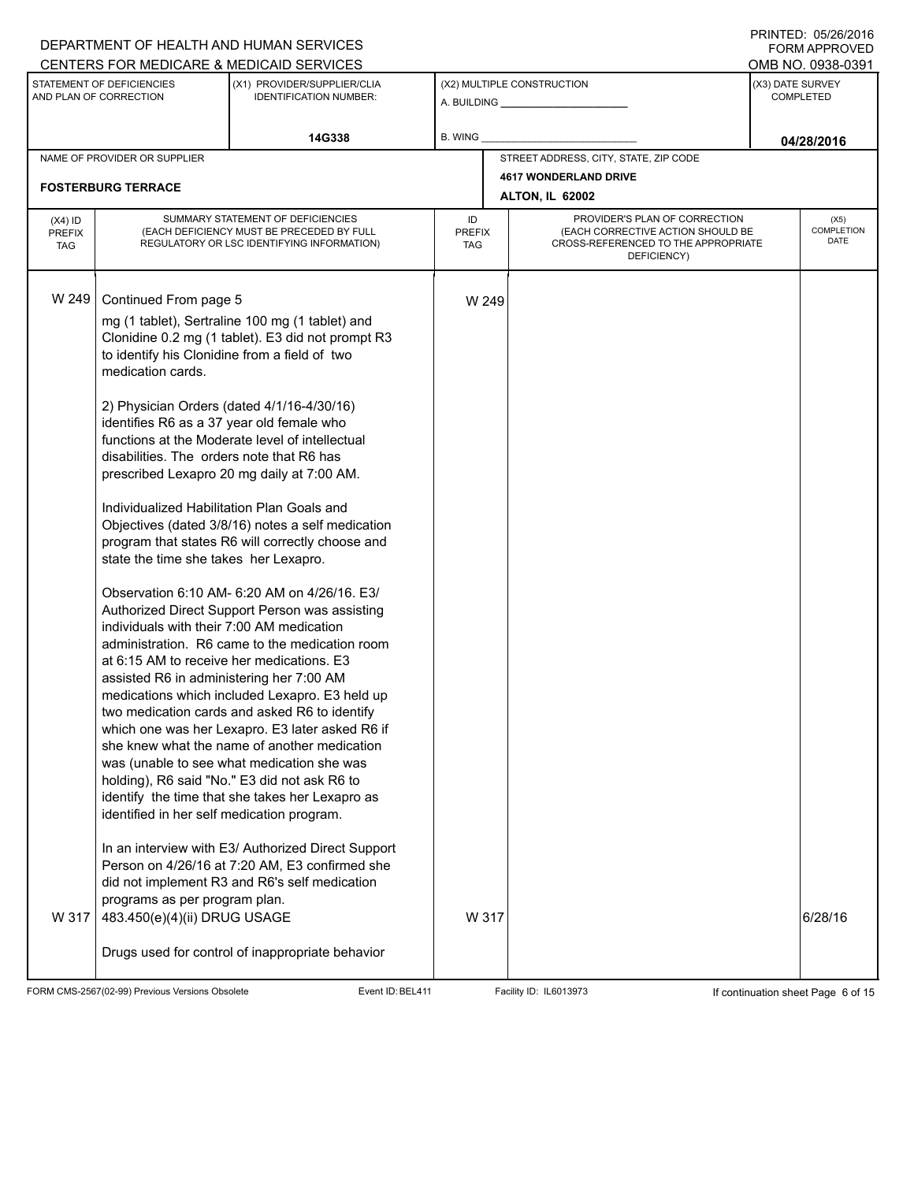### A. BUILDING **\_\_\_\_\_\_\_\_\_\_\_\_\_\_\_\_\_\_\_\_\_\_** (X1) PROVIDER/SUPPLIER/CLIA IDENTIFICATION NUMBER: STATEMENT OF DEFICIENCIES AND PLAN OF CORRECTION (X3) DATE SURVEY COMPLETED FORM APPROVED (X2) MULTIPLE CONSTRUCTION B. WING CENTERS FOR MEDICARE & MEDICAID SERVICES **And CENTERS FOR MEDICAL ACCESS** OMB NO. 0938-0391 14G338 **B. WING D. COMPANY CONSUMING THE CONSUMING OF A 28/2016** NAME OF PROVIDER OR SUPPLIER STREET ADDRESS, CITY, STATE, ZIP CODE **4617 WONDERLAND DRIVE FOSTERBURG TERRACE ALTON, IL 62002** PROVIDER'S PLAN OF CORRECTION (EACH CORRECTIVE ACTION SHOULD BE CROSS-REFERENCED TO THE APPROPRIATE DEFICIENCY) (X5) **COMPLETION** DATE ID PREFIX TAG (X4) ID PREFIX TAG SUMMARY STATEMENT OF DEFICIENCIES (EACH DEFICIENCY MUST BE PRECEDED BY FULL REGULATORY OR LSC IDENTIFYING INFORMATION) W 249 Continued From page 5 W 249 mg (1 tablet), Sertraline 100 mg (1 tablet) and Clonidine 0.2 mg (1 tablet). E3 did not prompt R3 to identify his Clonidine from a field of two medication cards. 2) Physician Orders (dated 4/1/16-4/30/16) identifies R6 as a 37 year old female who functions at the Moderate level of intellectual disabilities. The orders note that R6 has prescribed Lexapro 20 mg daily at 7:00 AM. Individualized Habilitation Plan Goals and Objectives (dated 3/8/16) notes a self medication program that states R6 will correctly choose and state the time she takes her Lexapro. Observation 6:10 AM- 6:20 AM on 4/26/16. E3/ Authorized Direct Support Person was assisting individuals with their 7:00 AM medication administration. R6 came to the medication room at 6:15 AM to receive her medications. E3 assisted R6 in administering her 7:00 AM medications which included Lexapro. E3 held up two medication cards and asked R6 to identify which one was her Lexapro. E3 later asked R6 if she knew what the name of another medication was (unable to see what medication she was holding), R6 said "No." E3 did not ask R6 to identify the time that she takes her Lexapro as identified in her self medication program. In an interview with E3/ Authorized Direct Support Person on 4/26/16 at 7:20 AM, E3 confirmed she did not implement R3 and R6's self medication programs as per program plan. W 317 483.450(e)(4)(ii) DRUG USAGE Drugs used for control of inappropriate behavior W 317  $\vert$  6/28/16

FORM CMS-2567(02-99) Previous Versions Obsolete Event ID:BEL411 Facility ID: IL6013973 If continuation sheet Page 6 of 15

DEPARTMENT OF HEALTH AND HUMAN SERVICES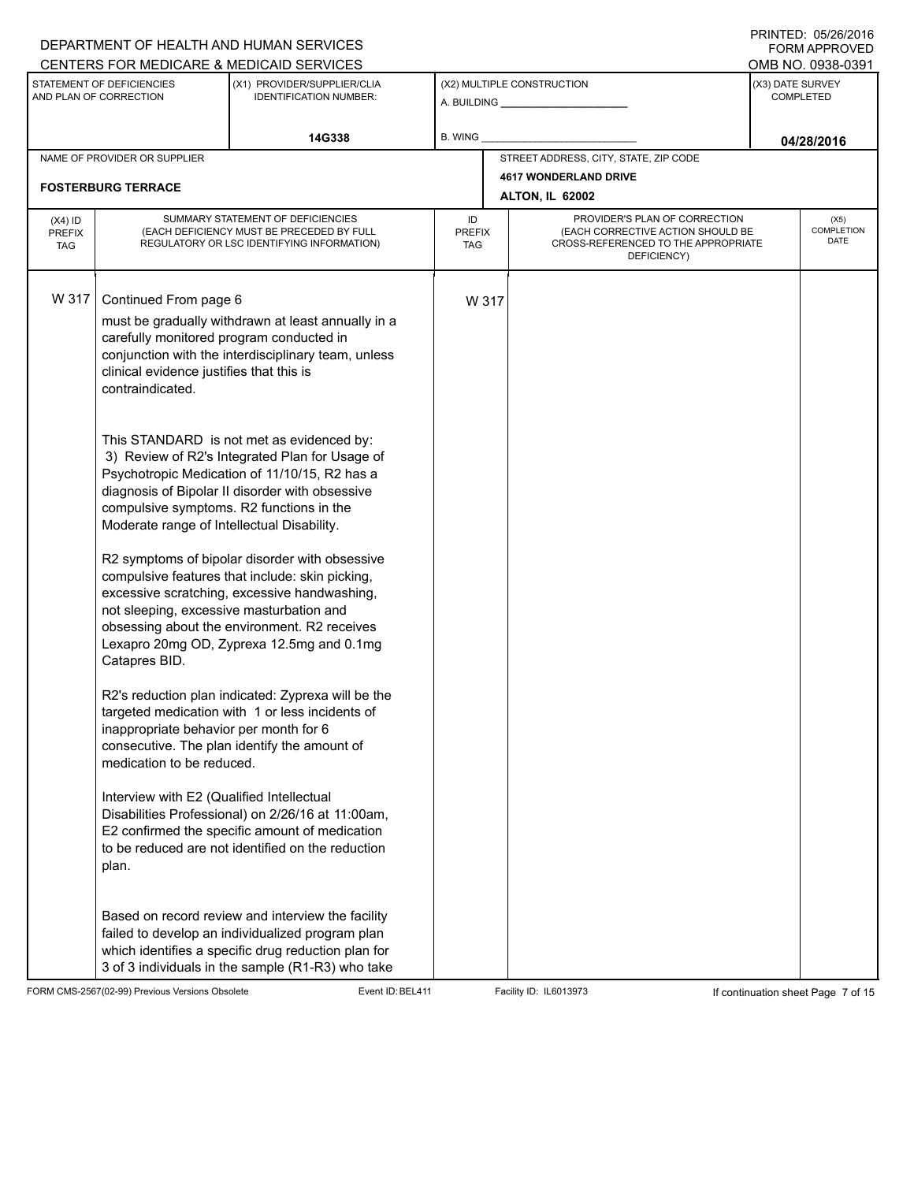|                                          |                                                                                                                                                                                                                                                                                                                                                                                                                       | DEPARTMENT OF HEALTH AND HUMAN SERVICES                                                                                                                                                                                                                                                                                                                                                                                                                                                                                                                                                                                                                                                                                                                                                                                                                                                                                                  |                            |       |                                                                                                                          |                                      | I INITILLY. 00/40/4010<br><b>FORM APPROVED</b> |
|------------------------------------------|-----------------------------------------------------------------------------------------------------------------------------------------------------------------------------------------------------------------------------------------------------------------------------------------------------------------------------------------------------------------------------------------------------------------------|------------------------------------------------------------------------------------------------------------------------------------------------------------------------------------------------------------------------------------------------------------------------------------------------------------------------------------------------------------------------------------------------------------------------------------------------------------------------------------------------------------------------------------------------------------------------------------------------------------------------------------------------------------------------------------------------------------------------------------------------------------------------------------------------------------------------------------------------------------------------------------------------------------------------------------------|----------------------------|-------|--------------------------------------------------------------------------------------------------------------------------|--------------------------------------|------------------------------------------------|
|                                          | STATEMENT OF DEFICIENCIES                                                                                                                                                                                                                                                                                                                                                                                             | CENTERS FOR MEDICARE & MEDICAID SERVICES<br>(X1) PROVIDER/SUPPLIER/CLIA                                                                                                                                                                                                                                                                                                                                                                                                                                                                                                                                                                                                                                                                                                                                                                                                                                                                  |                            |       | (X2) MULTIPLE CONSTRUCTION                                                                                               |                                      | OMB NO. 0938-0391                              |
|                                          | AND PLAN OF CORRECTION                                                                                                                                                                                                                                                                                                                                                                                                | <b>IDENTIFICATION NUMBER:</b>                                                                                                                                                                                                                                                                                                                                                                                                                                                                                                                                                                                                                                                                                                                                                                                                                                                                                                            |                            |       |                                                                                                                          | (X3) DATE SURVEY<br><b>COMPLETED</b> |                                                |
|                                          |                                                                                                                                                                                                                                                                                                                                                                                                                       | 14G338                                                                                                                                                                                                                                                                                                                                                                                                                                                                                                                                                                                                                                                                                                                                                                                                                                                                                                                                   | B. WING                    |       |                                                                                                                          |                                      | 04/28/2016                                     |
|                                          | NAME OF PROVIDER OR SUPPLIER                                                                                                                                                                                                                                                                                                                                                                                          |                                                                                                                                                                                                                                                                                                                                                                                                                                                                                                                                                                                                                                                                                                                                                                                                                                                                                                                                          |                            |       | STREET ADDRESS, CITY, STATE, ZIP CODE                                                                                    |                                      |                                                |
|                                          | <b>FOSTERBURG TERRACE</b>                                                                                                                                                                                                                                                                                                                                                                                             |                                                                                                                                                                                                                                                                                                                                                                                                                                                                                                                                                                                                                                                                                                                                                                                                                                                                                                                                          |                            |       | <b>4617 WONDERLAND DRIVE</b>                                                                                             |                                      |                                                |
|                                          |                                                                                                                                                                                                                                                                                                                                                                                                                       |                                                                                                                                                                                                                                                                                                                                                                                                                                                                                                                                                                                                                                                                                                                                                                                                                                                                                                                                          |                            |       | <b>ALTON, IL 62002</b>                                                                                                   |                                      |                                                |
| $(X4)$ ID<br><b>PREFIX</b><br><b>TAG</b> |                                                                                                                                                                                                                                                                                                                                                                                                                       | SUMMARY STATEMENT OF DEFICIENCIES<br>(EACH DEFICIENCY MUST BE PRECEDED BY FULL<br>REGULATORY OR LSC IDENTIFYING INFORMATION)                                                                                                                                                                                                                                                                                                                                                                                                                                                                                                                                                                                                                                                                                                                                                                                                             | ID<br><b>PREFIX</b><br>TAG |       | PROVIDER'S PLAN OF CORRECTION<br>(EACH CORRECTIVE ACTION SHOULD BE<br>CROSS-REFERENCED TO THE APPROPRIATE<br>DEFICIENCY) |                                      | (X5)<br><b>COMPLETION</b><br>DATE              |
| W 317                                    | Continued From page 6<br>carefully monitored program conducted in<br>clinical evidence justifies that this is<br>contraindicated.<br>compulsive symptoms. R2 functions in the<br>Moderate range of Intellectual Disability.<br>not sleeping, excessive masturbation and<br>Catapres BID.<br>inappropriate behavior per month for 6<br>medication to be reduced.<br>Interview with E2 (Qualified Intellectual<br>plan. | must be gradually withdrawn at least annually in a<br>conjunction with the interdisciplinary team, unless<br>This STANDARD is not met as evidenced by:<br>3) Review of R2's Integrated Plan for Usage of<br>Psychotropic Medication of 11/10/15, R2 has a<br>diagnosis of Bipolar II disorder with obsessive<br>R2 symptoms of bipolar disorder with obsessive<br>compulsive features that include: skin picking,<br>excessive scratching, excessive handwashing,<br>obsessing about the environment. R2 receives<br>Lexapro 20mg OD, Zyprexa 12.5mg and 0.1mg<br>R2's reduction plan indicated: Zyprexa will be the<br>targeted medication with 1 or less incidents of<br>consecutive. The plan identify the amount of<br>Disabilities Professional) on 2/26/16 at 11:00am,<br>E2 confirmed the specific amount of medication<br>to be reduced are not identified on the reduction<br>Based on record review and interview the facility |                            | W 317 |                                                                                                                          |                                      |                                                |
|                                          |                                                                                                                                                                                                                                                                                                                                                                                                                       | failed to develop an individualized program plan<br>which identifies a specific drug reduction plan for<br>3 of 3 individuals in the sample (R1-R3) who take                                                                                                                                                                                                                                                                                                                                                                                                                                                                                                                                                                                                                                                                                                                                                                             |                            |       |                                                                                                                          |                                      |                                                |

FORM CMS-2567(02-99) Previous Versions Obsolete Event ID:BEL411 Facility ID: IL6013973 If continuation sheet Page 7 of 15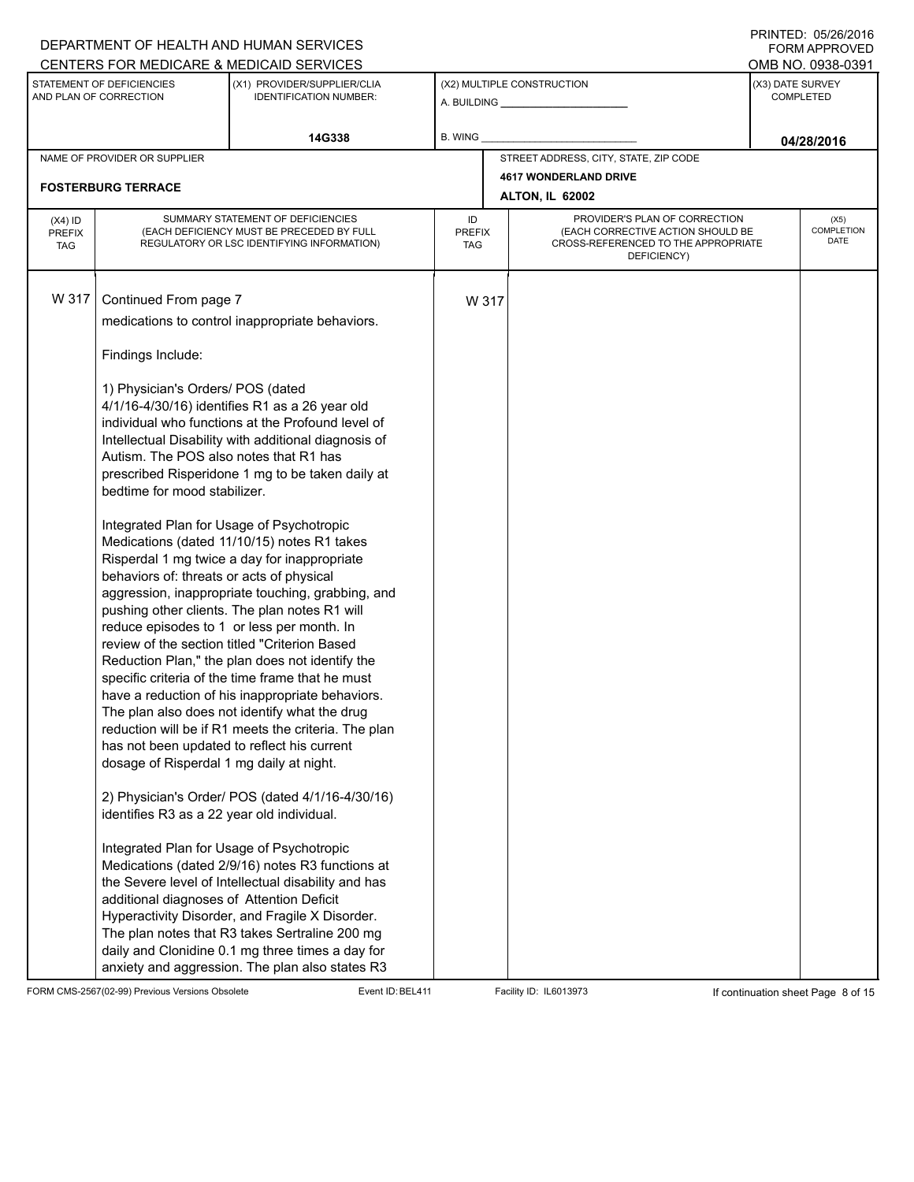### A. BUILDING **\_\_\_\_\_\_\_\_\_\_\_\_\_\_\_\_\_\_\_\_\_\_** (X1) PROVIDER/SUPPLIER/CLIA IDENTIFICATION NUMBER: STATEMENT OF DEFICIENCIES AND PLAN OF CORRECTION (X3) DATE SURVEY COMPLETED FORM APPROVED (X2) MULTIPLE CONSTRUCTION B. WING CENTERS FOR MEDICARE & MEDICAID SERVICES **And CENTERS FOR MEDICAL ACCESS** OMB NO. 0938-0391 **14G338 04/28/2016** NAME OF PROVIDER OR SUPPLIER STREET ADDRESS, CITY, STATE, ZIP CODE **4617 WONDERLAND DRIVE FOSTERBURG TERRACE ALTON, IL 62002** PROVIDER'S PLAN OF CORRECTION (EACH CORRECTIVE ACTION SHOULD BE CROSS-REFERENCED TO THE APPROPRIATE DEFICIENCY) (X5) **COMPLETION** DATE ID PREFIX TAG (X4) ID PREFIX TAG SUMMARY STATEMENT OF DEFICIENCIES (EACH DEFICIENCY MUST BE PRECEDED BY FULL REGULATORY OR LSC IDENTIFYING INFORMATION) W 317 Continued From page 7 W 317 medications to control inappropriate behaviors. Findings Include: 1) Physician's Orders/ POS (dated 4/1/16-4/30/16) identifies R1 as a 26 year old individual who functions at the Profound level of Intellectual Disability with additional diagnosis of Autism. The POS also notes that R1 has prescribed Risperidone 1 mg to be taken daily at bedtime for mood stabilizer. Integrated Plan for Usage of Psychotropic Medications (dated 11/10/15) notes R1 takes Risperdal 1 mg twice a day for inappropriate behaviors of: threats or acts of physical aggression, inappropriate touching, grabbing, and pushing other clients. The plan notes R1 will reduce episodes to 1 or less per month. In review of the section titled "Criterion Based Reduction Plan," the plan does not identify the specific criteria of the time frame that he must have a reduction of his inappropriate behaviors. The plan also does not identify what the drug reduction will be if R1 meets the criteria. The plan has not been updated to reflect his current dosage of Risperdal 1 mg daily at night. 2) Physician's Order/ POS (dated 4/1/16-4/30/16) identifies R3 as a 22 year old individual. Integrated Plan for Usage of Psychotropic Medications (dated 2/9/16) notes R3 functions at the Severe level of Intellectual disability and has additional diagnoses of Attention Deficit Hyperactivity Disorder, and Fragile X Disorder. The plan notes that R3 takes Sertraline 200 mg daily and Clonidine 0.1 mg three times a day for anxiety and aggression. The plan also states R3

FORM CMS-2567(02-99) Previous Versions Obsolete Event ID:BEL411 Facility ID: IL6013973 If continuation sheet Page 8 of 15

DEPARTMENT OF HEALTH AND HUMAN SERVICES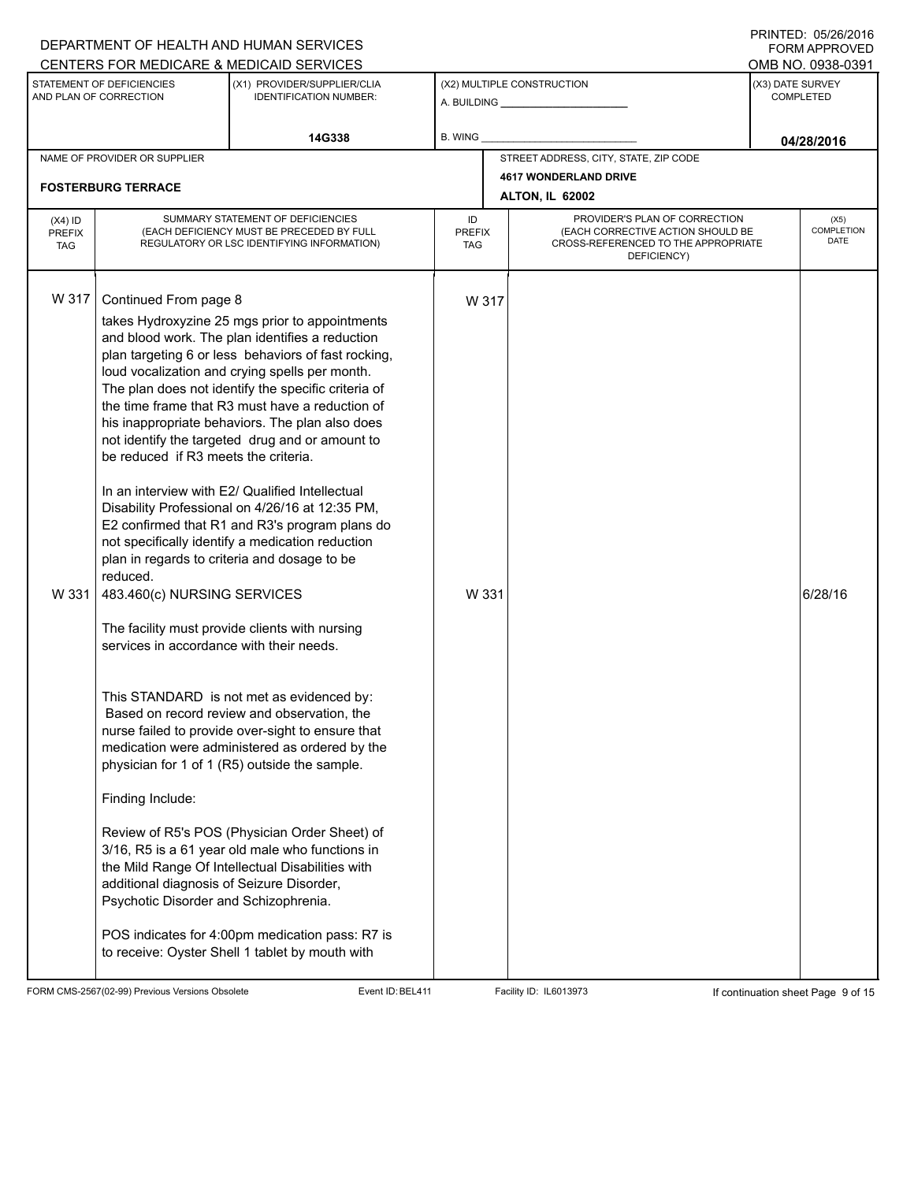|                                                     |                                                                                                                                                                                                                                                                                                                | DEPARTMENT OF HEALTH AND HUMAN SERVICES                                                                                                                                                                                                                                                                                                                                                                                                                                                                                                                                                                                                                                                                                                                                                                                                                                                                                                                                                                                                                                                                                                                                                                    |                                   |                                                              |                                                                                                                          |            | I INITILLY. 00/40/4010<br>FORM APPROVED |  |
|-----------------------------------------------------|----------------------------------------------------------------------------------------------------------------------------------------------------------------------------------------------------------------------------------------------------------------------------------------------------------------|------------------------------------------------------------------------------------------------------------------------------------------------------------------------------------------------------------------------------------------------------------------------------------------------------------------------------------------------------------------------------------------------------------------------------------------------------------------------------------------------------------------------------------------------------------------------------------------------------------------------------------------------------------------------------------------------------------------------------------------------------------------------------------------------------------------------------------------------------------------------------------------------------------------------------------------------------------------------------------------------------------------------------------------------------------------------------------------------------------------------------------------------------------------------------------------------------------|-----------------------------------|--------------------------------------------------------------|--------------------------------------------------------------------------------------------------------------------------|------------|-----------------------------------------|--|
|                                                     |                                                                                                                                                                                                                                                                                                                | CENTERS FOR MEDICARE & MEDICAID SERVICES                                                                                                                                                                                                                                                                                                                                                                                                                                                                                                                                                                                                                                                                                                                                                                                                                                                                                                                                                                                                                                                                                                                                                                   |                                   |                                                              |                                                                                                                          |            | OMB NO. 0938-0391                       |  |
| STATEMENT OF DEFICIENCIES<br>AND PLAN OF CORRECTION |                                                                                                                                                                                                                                                                                                                | (X1) PROVIDER/SUPPLIER/CLIA<br><b>IDENTIFICATION NUMBER:</b>                                                                                                                                                                                                                                                                                                                                                                                                                                                                                                                                                                                                                                                                                                                                                                                                                                                                                                                                                                                                                                                                                                                                               |                                   | (X2) MULTIPLE CONSTRUCTION<br>A. BUILDING <b>A. BUILDING</b> |                                                                                                                          |            | (X3) DATE SURVEY<br><b>COMPLETED</b>    |  |
|                                                     |                                                                                                                                                                                                                                                                                                                | 14G338                                                                                                                                                                                                                                                                                                                                                                                                                                                                                                                                                                                                                                                                                                                                                                                                                                                                                                                                                                                                                                                                                                                                                                                                     | B. WING                           |                                                              |                                                                                                                          | 04/28/2016 |                                         |  |
|                                                     | NAME OF PROVIDER OR SUPPLIER                                                                                                                                                                                                                                                                                   |                                                                                                                                                                                                                                                                                                                                                                                                                                                                                                                                                                                                                                                                                                                                                                                                                                                                                                                                                                                                                                                                                                                                                                                                            |                                   |                                                              | STREET ADDRESS, CITY, STATE, ZIP CODE                                                                                    |            |                                         |  |
|                                                     | <b>FOSTERBURG TERRACE</b>                                                                                                                                                                                                                                                                                      |                                                                                                                                                                                                                                                                                                                                                                                                                                                                                                                                                                                                                                                                                                                                                                                                                                                                                                                                                                                                                                                                                                                                                                                                            |                                   |                                                              | <b>4617 WONDERLAND DRIVE</b>                                                                                             |            |                                         |  |
|                                                     |                                                                                                                                                                                                                                                                                                                |                                                                                                                                                                                                                                                                                                                                                                                                                                                                                                                                                                                                                                                                                                                                                                                                                                                                                                                                                                                                                                                                                                                                                                                                            |                                   |                                                              | ALTON, IL 62002                                                                                                          |            |                                         |  |
| $(X4)$ ID<br><b>PREFIX</b><br><b>TAG</b>            | SUMMARY STATEMENT OF DEFICIENCIES<br>(EACH DEFICIENCY MUST BE PRECEDED BY FULL<br>REGULATORY OR LSC IDENTIFYING INFORMATION)                                                                                                                                                                                   |                                                                                                                                                                                                                                                                                                                                                                                                                                                                                                                                                                                                                                                                                                                                                                                                                                                                                                                                                                                                                                                                                                                                                                                                            | ID<br><b>PREFIX</b><br><b>TAG</b> |                                                              | PROVIDER'S PLAN OF CORRECTION<br>(EACH CORRECTIVE ACTION SHOULD BE<br>CROSS-REFERENCED TO THE APPROPRIATE<br>DEFICIENCY) |            | (X5)<br>COMPLETION<br>DATE              |  |
| W 317<br>W 331                                      | Continued From page 8<br>be reduced if R3 meets the criteria.<br>plan in regards to criteria and dosage to be<br>reduced.<br>483.460(c) NURSING SERVICES<br>services in accordance with their needs.<br>Finding Include:<br>additional diagnosis of Seizure Disorder,<br>Psychotic Disorder and Schizophrenia. | takes Hydroxyzine 25 mgs prior to appointments<br>and blood work. The plan identifies a reduction<br>plan targeting 6 or less behaviors of fast rocking,<br>loud vocalization and crying spells per month.<br>The plan does not identify the specific criteria of<br>the time frame that R3 must have a reduction of<br>his inappropriate behaviors. The plan also does<br>not identify the targeted drug and or amount to<br>In an interview with E2/ Qualified Intellectual<br>Disability Professional on 4/26/16 at 12:35 PM,<br>E2 confirmed that R1 and R3's program plans do<br>not specifically identify a medication reduction<br>The facility must provide clients with nursing<br>This STANDARD is not met as evidenced by:<br>Based on record review and observation, the<br>nurse failed to provide over-sight to ensure that<br>medication were administered as ordered by the<br>physician for 1 of 1 (R5) outside the sample.<br>Review of R5's POS (Physician Order Sheet) of<br>3/16, R5 is a 61 year old male who functions in<br>the Mild Range Of Intellectual Disabilities with<br>POS indicates for 4:00pm medication pass: R7 is<br>to receive: Oyster Shell 1 tablet by mouth with |                                   | W 317<br>W 331                                               |                                                                                                                          |            | 6/28/16                                 |  |

FORM CMS-2567(02-99) Previous Versions Obsolete Event ID:BEL411 Facility ID: IL6013973 If continuation sheet Page 9 of 15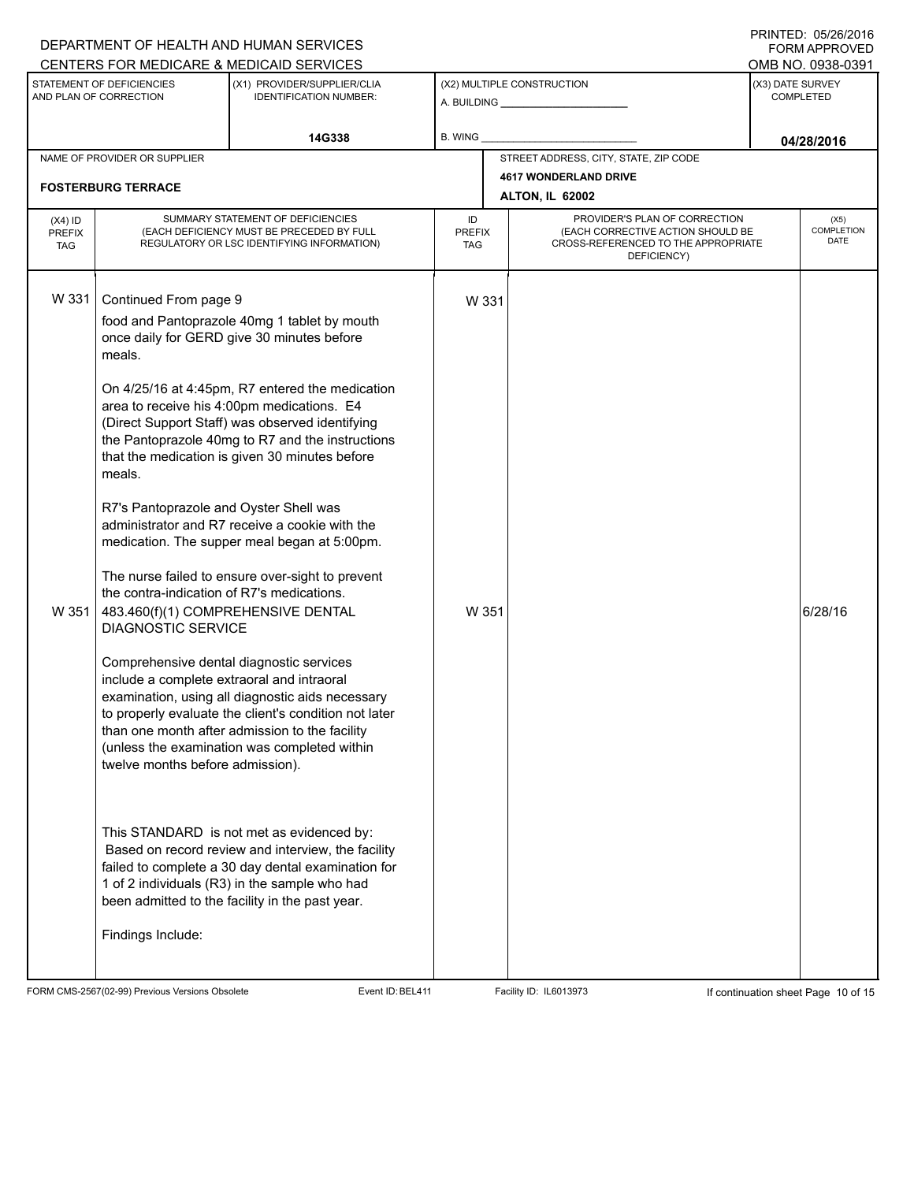# A. BUILDING **\_\_\_\_\_\_\_\_\_\_\_\_\_\_\_\_\_\_\_\_\_\_** (X1) PROVIDER/SUPPLIER/CLIA IDENTIFICATION NUMBER: STATEMENT OF DEFICIENCIES AND PLAN OF CORRECTION (X3) DATE SURVEY COMPLETED FORM APPROVED (X2) MULTIPLE CONSTRUCTION B. WING CENTERS FOR MEDICARE & MEDICAID SERVICES **And CENTERS FOR MEDICAL ACCESS** OMB NO. 0938-0391 14G338 **B. WING D. COMPANY CONSUMING THE CONSUMING OF A 28/2016** NAME OF PROVIDER OR SUPPLIER STREET ADDRESS, CITY, STATE, ZIP CODE **4617 WONDERLAND DRIVE FOSTERBURG TERRACE ALTON, IL 62002** PROVIDER'S PLAN OF CORRECTION (EACH CORRECTIVE ACTION SHOULD BE CROSS-REFERENCED TO THE APPROPRIATE DEFICIENCY) (X5) **COMPLETION** DATE ID PREFIX TAG (X4) ID PREFIX TAG SUMMARY STATEMENT OF DEFICIENCIES (EACH DEFICIENCY MUST BE PRECEDED BY FULL REGULATORY OR LSC IDENTIFYING INFORMATION) W 331 Continued From page 9 W 331 food and Pantoprazole 40mg 1 tablet by mouth once daily for GERD give 30 minutes before meals. On 4/25/16 at 4:45pm, R7 entered the medication area to receive his 4:00pm medications. E4 (Direct Support Staff) was observed identifying the Pantoprazole 40mg to R7 and the instructions that the medication is given 30 minutes before meals. R7's Pantoprazole and Oyster Shell was administrator and R7 receive a cookie with the medication. The supper meal began at 5:00pm. The nurse failed to ensure over-sight to prevent the contra-indication of R7's medications. W 351 483.460(f)(1) COMPREHENSIVE DENTAL DIAGNOSTIC SERVICE Comprehensive dental diagnostic services include a complete extraoral and intraoral examination, using all diagnostic aids necessary to properly evaluate the client's condition not later than one month after admission to the facility (unless the examination was completed within twelve months before admission). This STANDARD is not met as evidenced by: W 351  $\vert$  6/28/16 Based on record review and interview, the facility failed to complete a 30 day dental examination for 1 of 2 individuals (R3) in the sample who had been admitted to the facility in the past year. Findings Include:

FORM CMS-2567(02-99) Previous Versions Obsolete Event ID:BEL411 Facility ID: IL6013973 If continuation sheet Page 10 of 15

DEPARTMENT OF HEALTH AND HUMAN SERVICES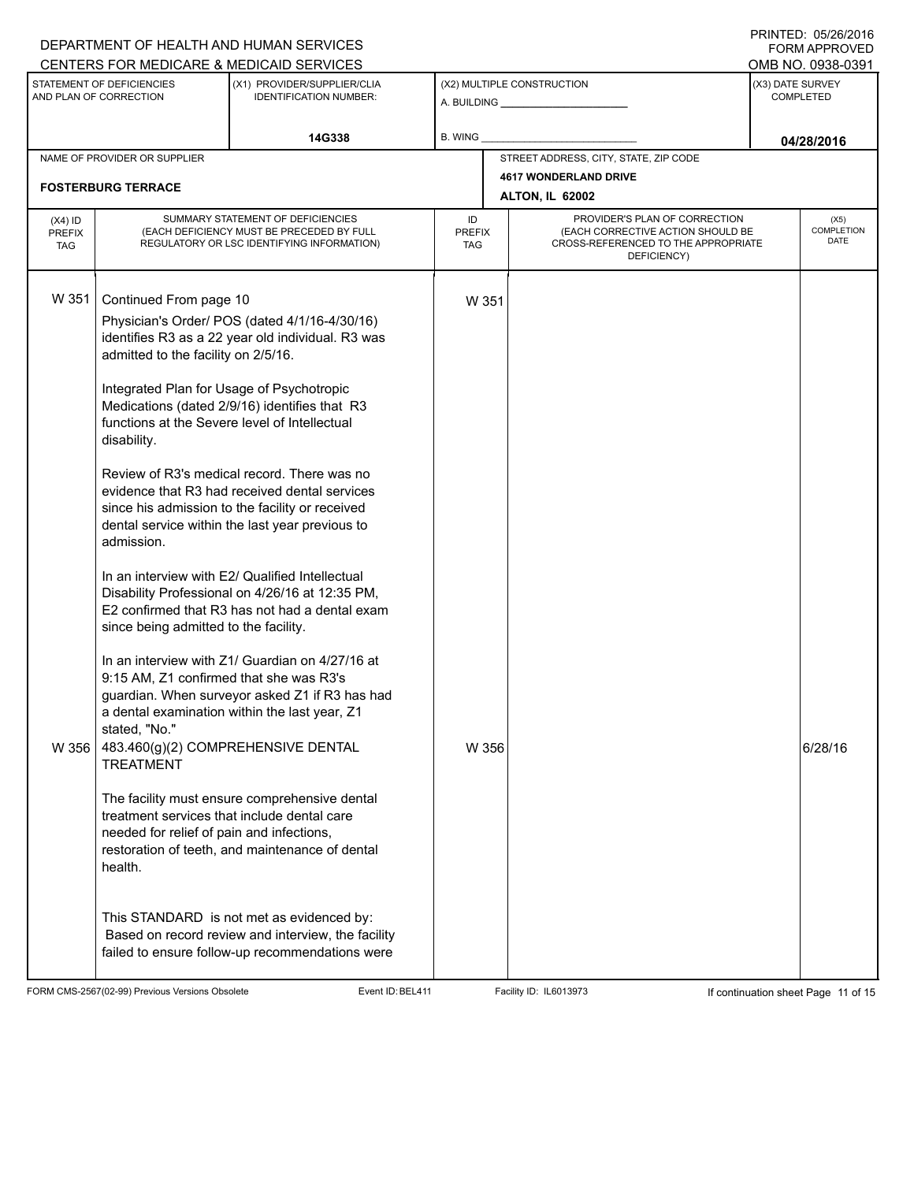## A. BUILDING **\_\_\_\_\_\_\_\_\_\_\_\_\_\_\_\_\_\_\_\_\_\_** (X1) PROVIDER/SUPPLIER/CLIA IDENTIFICATION NUMBER: STATEMENT OF DEFICIENCIES AND PLAN OF CORRECTION (X3) DATE SURVEY COMPLETED FORM APPROVED (X2) MULTIPLE CONSTRUCTION B. WING CENTERS FOR MEDICARE & MEDICAID SERVICES **And CENTERS FOR MEDICAL ACCESS** OMB NO. 0938-0391 14G338 **B. WING D. COMPUTER CONSUMING CONSUMING CONSUMING CONSUMING CONSUMING CONSUMING CONSUMING CONSUMING CONSUMING CONSUMING CONSUMING CONSUMING CONSUMING CONSUMING CONSUMING CONSUMING CONSUMING CONSUMING CONSUMING CO** NAME OF PROVIDER OR SUPPLIER STREET ADDRESS, CITY, STATE, ZIP CODE **4617 WONDERLAND DRIVE FOSTERBURG TERRACE ALTON, IL 62002** PROVIDER'S PLAN OF CORRECTION (EACH CORRECTIVE ACTION SHOULD BE CROSS-REFERENCED TO THE APPROPRIATE DEFICIENCY) (X5) **COMPLETION** DATE ID PREFIX TAG (X4) ID PREFIX TAG SUMMARY STATEMENT OF DEFICIENCIES (EACH DEFICIENCY MUST BE PRECEDED BY FULL REGULATORY OR LSC IDENTIFYING INFORMATION) W 351 Continued From page 10 W 351 Physician's Order/ POS (dated 4/1/16-4/30/16) identifies R3 as a 22 year old individual. R3 was admitted to the facility on 2/5/16. Integrated Plan for Usage of Psychotropic Medications (dated 2/9/16) identifies that R3 functions at the Severe level of Intellectual disability. Review of R3's medical record. There was no evidence that R3 had received dental services since his admission to the facility or received dental service within the last year previous to admission. In an interview with E2/ Qualified Intellectual Disability Professional on 4/26/16 at 12:35 PM, E2 confirmed that R3 has not had a dental exam since being admitted to the facility. In an interview with Z1/ Guardian on 4/27/16 at 9:15 AM, Z1 confirmed that she was R3's guardian. When surveyor asked Z1 if R3 has had a dental examination within the last year, Z1 stated, "No." W 356  $|$  483.460(g)(2) COMPREHENSIVE DENTAL TREATMENT The facility must ensure comprehensive dental treatment services that include dental care needed for relief of pain and infections, restoration of teeth, and maintenance of dental health. This STANDARD is not met as evidenced by: W 356  $\vert$  Based on record review and interview, the facility failed to ensure follow-up recommendations were

FORM CMS-2567(02-99) Previous Versions Obsolete Event ID:BEL411 Facility ID: IL6013973 If continuation sheet Page 11 of 15

DEPARTMENT OF HEALTH AND HUMAN SERVICES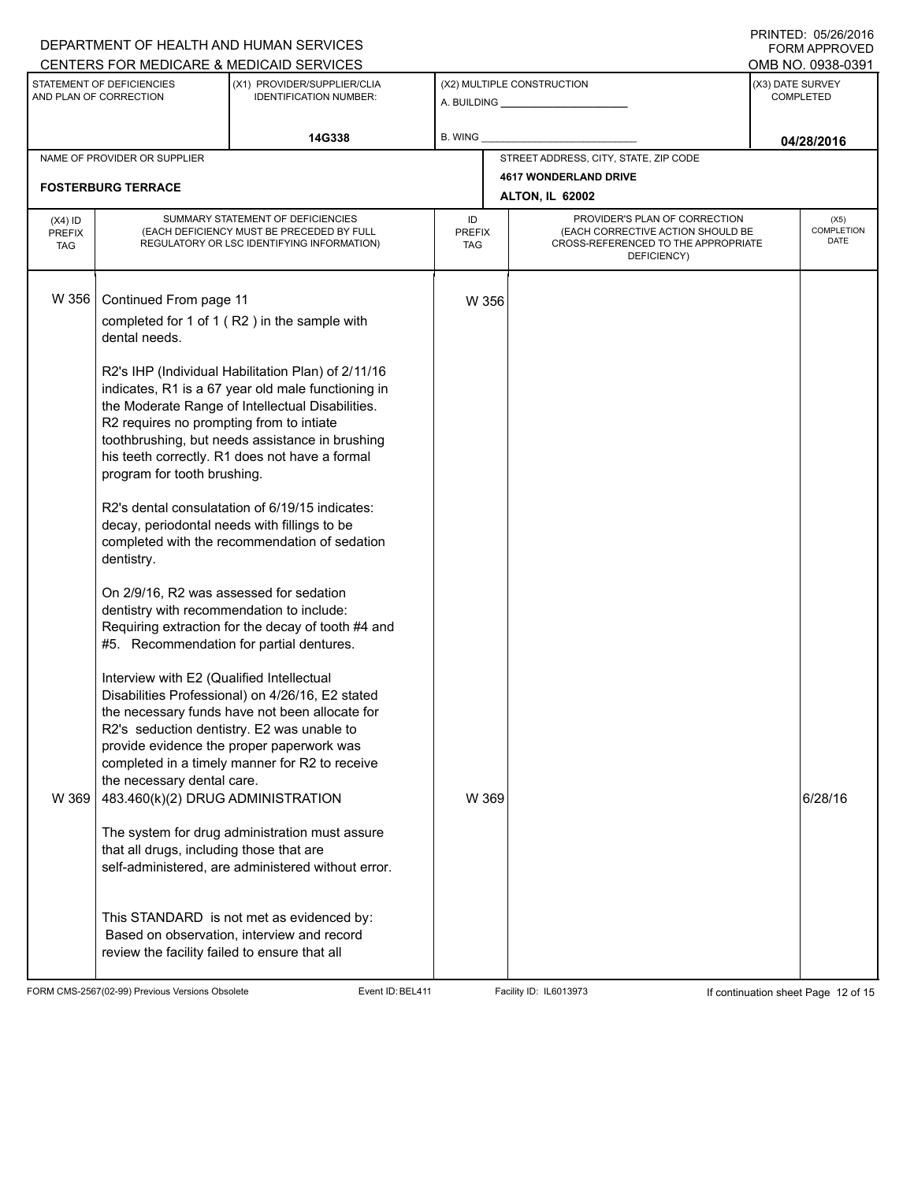|                                                                                                 |                                                                                                                                                                                                                                                                                                                                                             | DEPARTMENT OF HEALTH AND HUMAN SERVICES                                                                                                                                                                                                                                                                                                                                                                                                                                                                                                                   |         |                                                                       |                                          | <b>FORM APPROVED</b>                                      |
|-------------------------------------------------------------------------------------------------|-------------------------------------------------------------------------------------------------------------------------------------------------------------------------------------------------------------------------------------------------------------------------------------------------------------------------------------------------------------|-----------------------------------------------------------------------------------------------------------------------------------------------------------------------------------------------------------------------------------------------------------------------------------------------------------------------------------------------------------------------------------------------------------------------------------------------------------------------------------------------------------------------------------------------------------|---------|-----------------------------------------------------------------------|------------------------------------------|-----------------------------------------------------------|
| CENTERS FOR MEDICARE & MEDICAID SERVICES<br>STATEMENT OF DEFICIENCIES<br>AND PLAN OF CORRECTION |                                                                                                                                                                                                                                                                                                                                                             | (X1) PROVIDER/SUPPLIER/CLIA<br><b>IDENTIFICATION NUMBER:</b>                                                                                                                                                                                                                                                                                                                                                                                                                                                                                              |         | (X2) MULTIPLE CONSTRUCTION<br>A. BUILDING A. BUILDING                 |                                          | OMB NO. 0938-0391<br>(X3) DATE SURVEY<br><b>COMPLETED</b> |
|                                                                                                 |                                                                                                                                                                                                                                                                                                                                                             | 14G338                                                                                                                                                                                                                                                                                                                                                                                                                                                                                                                                                    | B. WING |                                                                       |                                          | 04/28/2016                                                |
|                                                                                                 | NAME OF PROVIDER OR SUPPLIER                                                                                                                                                                                                                                                                                                                                |                                                                                                                                                                                                                                                                                                                                                                                                                                                                                                                                                           |         | STREET ADDRESS, CITY, STATE, ZIP CODE<br><b>4617 WONDERLAND DRIVE</b> |                                          |                                                           |
|                                                                                                 | <b>FOSTERBURG TERRACE</b>                                                                                                                                                                                                                                                                                                                                   |                                                                                                                                                                                                                                                                                                                                                                                                                                                                                                                                                           |         | <b>ALTON, IL 62002</b>                                                |                                          |                                                           |
| $(X4)$ ID<br><b>PREFIX</b><br><b>TAG</b>                                                        | SUMMARY STATEMENT OF DEFICIENCIES<br>PROVIDER'S PLAN OF CORRECTION<br>ID<br>(EACH DEFICIENCY MUST BE PRECEDED BY FULL<br>(EACH CORRECTIVE ACTION SHOULD BE<br><b>PREFIX</b><br>CROSS-REFERENCED TO THE APPROPRIATE<br>REGULATORY OR LSC IDENTIFYING INFORMATION)<br>TAG<br>DEFICIENCY)                                                                      |                                                                                                                                                                                                                                                                                                                                                                                                                                                                                                                                                           |         |                                                                       | (X5)<br><b>COMPLETION</b><br><b>DATE</b> |                                                           |
| W 356                                                                                           | Continued From page 11<br>dental needs.<br>R2 requires no prompting from to intiate<br>program for tooth brushing.<br>decay, periodontal needs with fillings to be                                                                                                                                                                                          | completed for 1 of 1 (R2) in the sample with<br>R2's IHP (Individual Habilitation Plan) of 2/11/16<br>indicates, R1 is a 67 year old male functioning in<br>the Moderate Range of Intellectual Disabilities.<br>toothbrushing, but needs assistance in brushing<br>his teeth correctly. R1 does not have a formal<br>R2's dental consulatation of 6/19/15 indicates:                                                                                                                                                                                      | W 356   |                                                                       |                                          |                                                           |
| W 369                                                                                           | dentistry.<br>On 2/9/16, R2 was assessed for sedation<br>dentistry with recommendation to include:<br>#5. Recommendation for partial dentures.<br>Interview with E2 (Qualified Intellectual<br>the necessary dental care.<br>483.460(k)(2) DRUG ADMINISTRATION<br>that all drugs, including those that are<br>review the facility failed to ensure that all | completed with the recommendation of sedation<br>Requiring extraction for the decay of tooth #4 and<br>Disabilities Professional) on 4/26/16, E2 stated<br>the necessary funds have not been allocate for<br>R2's seduction dentistry. E2 was unable to<br>provide evidence the proper paperwork was<br>completed in a timely manner for R2 to receive<br>The system for drug administration must assure<br>self-administered, are administered without error.<br>This STANDARD is not met as evidenced by:<br>Based on observation, interview and record | W 369   |                                                                       |                                          | 6/28/16                                                   |

FORM CMS-2567(02-99) Previous Versions Obsolete Event ID:BEL411 Facility ID: IL6013973 If continuation sheet Page 12 of 15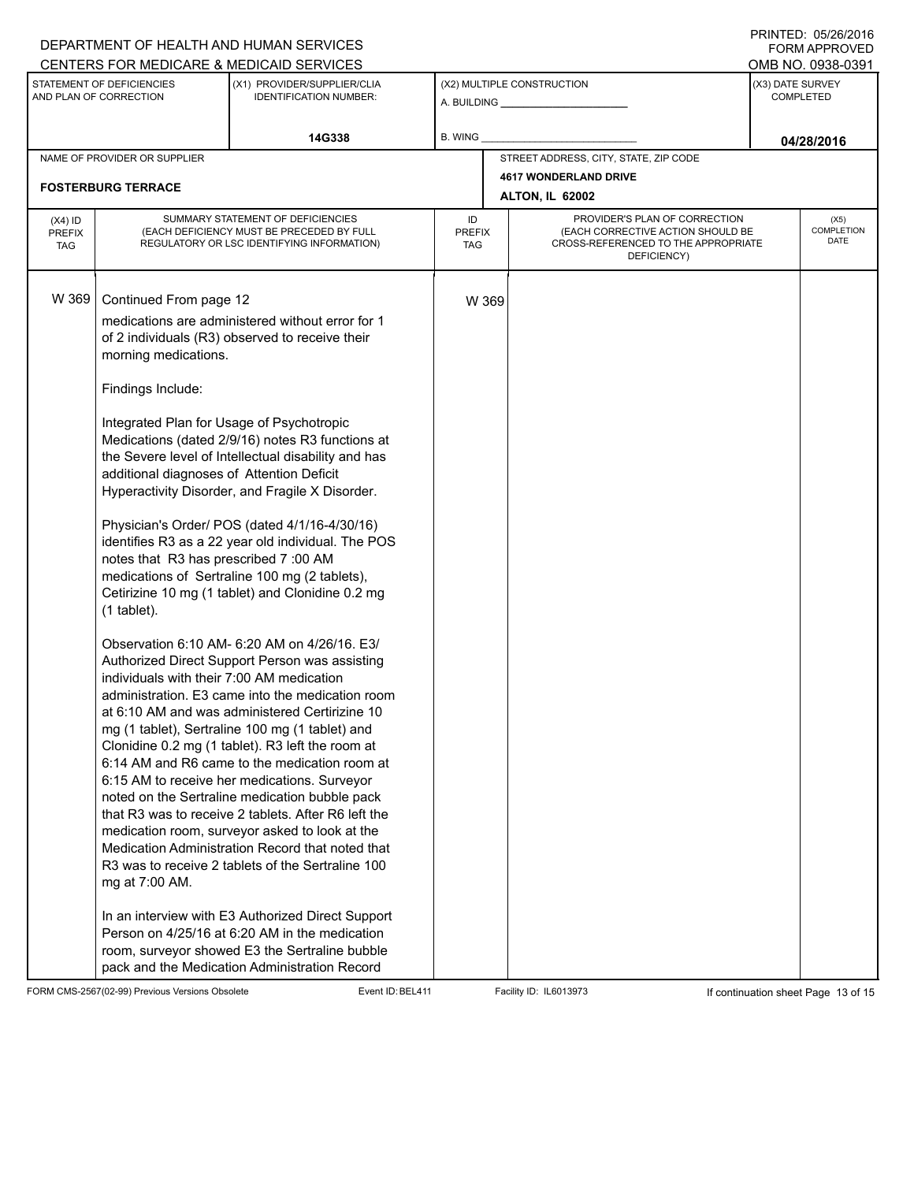### A. BUILDING **\_\_\_\_\_\_\_\_\_\_\_\_\_\_\_\_\_\_\_\_\_\_** (X1) PROVIDER/SUPPLIER/CLIA IDENTIFICATION NUMBER: STATEMENT OF DEFICIENCIES AND PLAN OF CORRECTION (X3) DATE SURVEY COMPLETED FORM APPROVED (X2) MULTIPLE CONSTRUCTION B. WING CENTERS FOR MEDICARE & MEDICAID SERVICES **And CENTERS FOR MEDICAL ACCESS** OMB NO. 0938-0391 14G338 **B. WING D. COMPUTER CONSUMING CONSUMING CONSUMING CONSUMING CONSUMING CONSUMING CONSUMING CONSUMING CONSUMING CONSUMING CONSUMING CONSUMING CONSUMING CONSUMING CONSUMING CONSUMING CONSUMING CONSUMING CONSUMING CO** NAME OF PROVIDER OR SUPPLIER STREET ADDRESS, CITY, STATE, ZIP CODE **4617 WONDERLAND DRIVE FOSTERBURG TERRACE ALTON, IL 62002** PROVIDER'S PLAN OF CORRECTION (EACH CORRECTIVE ACTION SHOULD BE CROSS-REFERENCED TO THE APPROPRIATE DEFICIENCY) (X5) **COMPLETION** DATE ID PREFIX TAG (X4) ID PREFIX TAG SUMMARY STATEMENT OF DEFICIENCIES (EACH DEFICIENCY MUST BE PRECEDED BY FULL REGULATORY OR LSC IDENTIFYING INFORMATION) W 369 Continued From page 12 W 369 medications are administered without error for 1 of 2 individuals (R3) observed to receive their morning medications. Findings Include: Integrated Plan for Usage of Psychotropic Medications (dated 2/9/16) notes R3 functions at the Severe level of Intellectual disability and has additional diagnoses of Attention Deficit Hyperactivity Disorder, and Fragile X Disorder. Physician's Order/ POS (dated 4/1/16-4/30/16) identifies R3 as a 22 year old individual. The POS notes that R3 has prescribed 7 :00 AM medications of Sertraline 100 mg (2 tablets), Cetirizine 10 mg (1 tablet) and Clonidine 0.2 mg (1 tablet). Observation 6:10 AM- 6:20 AM on 4/26/16. E3/ Authorized Direct Support Person was assisting individuals with their 7:00 AM medication administration. E3 came into the medication room at 6:10 AM and was administered Certirizine 10 mg (1 tablet), Sertraline 100 mg (1 tablet) and Clonidine 0.2 mg (1 tablet). R3 left the room at 6:14 AM and R6 came to the medication room at 6:15 AM to receive her medications. Surveyor noted on the Sertraline medication bubble pack that R3 was to receive 2 tablets. After R6 left the medication room, surveyor asked to look at the Medication Administration Record that noted that R3 was to receive 2 tablets of the Sertraline 100 mg at 7:00 AM. In an interview with E3 Authorized Direct Support Person on 4/25/16 at 6:20 AM in the medication room, surveyor showed E3 the Sertraline bubble pack and the Medication Administration Record

FORM CMS-2567(02-99) Previous Versions Obsolete Event ID:BEL411 Facility ID: IL6013973 If continuation sheet Page 13 of 15

DEPARTMENT OF HEALTH AND HUMAN SERVICES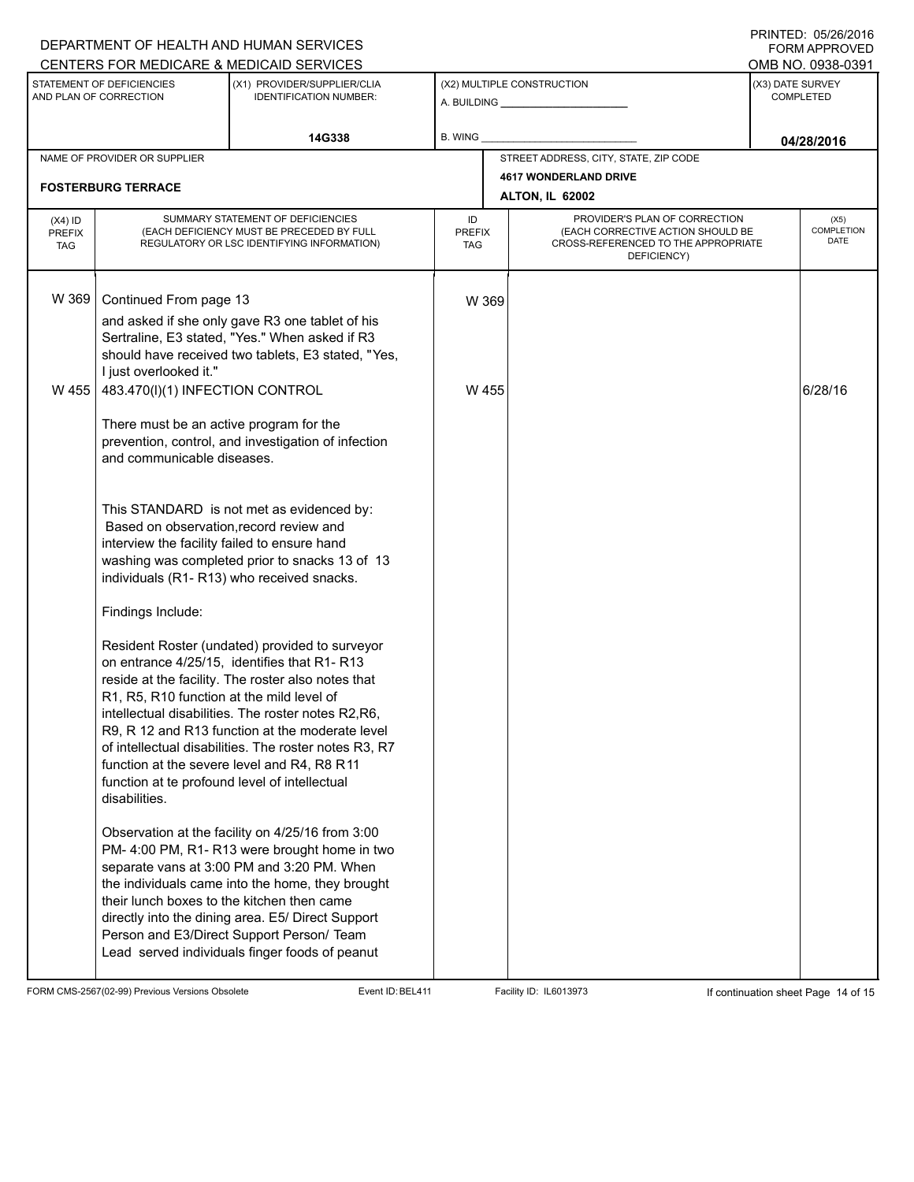### A. BUILDING **\_\_\_\_\_\_\_\_\_\_\_\_\_\_\_\_\_\_\_\_\_\_** (X1) PROVIDER/SUPPLIER/CLIA IDENTIFICATION NUMBER: STATEMENT OF DEFICIENCIES AND PLAN OF CORRECTION (X3) DATE SURVEY COMPLETED FORM APPROVED (X2) MULTIPLE CONSTRUCTION B. WING CENTERS FOR MEDICARE & MEDICAID SERVICES **And CENTERS FOR MEDICAL ACCESS** OMB NO. 0938-0391 14G338 **B. WING D. COMPANY CONSUMING THE CONSUMING OF A 28/2016** NAME OF PROVIDER OR SUPPLIER STREET ADDRESS, CITY, STATE, ZIP CODE **4617 WONDERLAND DRIVE FOSTERBURG TERRACE ALTON, IL 62002** PROVIDER'S PLAN OF CORRECTION (EACH CORRECTIVE ACTION SHOULD BE CROSS-REFERENCED TO THE APPROPRIATE DEFICIENCY) (X5) **COMPLETION** DATE ID PREFIX TAG (X4) ID PREFIX TAG SUMMARY STATEMENT OF DEFICIENCIES (EACH DEFICIENCY MUST BE PRECEDED BY FULL REGULATORY OR LSC IDENTIFYING INFORMATION) W 369 | Continued From page 13 W 369 and asked if she only gave R3 one tablet of his Sertraline, E3 stated, "Yes." When asked if R3 should have received two tablets, E3 stated, "Yes, I just overlooked it." W 455  $\vert$  483.470(l)(1) INFECTION CONTROL There must be an active program for the prevention, control, and investigation of infection and communicable diseases. This STANDARD is not met as evidenced by: W 455  $\vert$  6/28/16 Based on observation,record review and interview the facility failed to ensure hand washing was completed prior to snacks 13 of 13 individuals (R1- R13) who received snacks. Findings Include: Resident Roster (undated) provided to surveyor on entrance 4/25/15, identifies that R1- R13 reside at the facility. The roster also notes that R1, R5, R10 function at the mild level of intellectual disabilities. The roster notes R2,R6, R9, R 12 and R13 function at the moderate level of intellectual disabilities. The roster notes R3, R7 function at the severe level and R4, R8 R11 function at te profound level of intellectual disabilities. Observation at the facility on 4/25/16 from 3:00 PM- 4:00 PM, R1- R13 were brought home in two separate vans at 3:00 PM and 3:20 PM. When the individuals came into the home, they brought their lunch boxes to the kitchen then came directly into the dining area. E5/ Direct Support Person and E3/Direct Support Person/ Team Lead served individuals finger foods of peanut

FORM CMS-2567(02-99) Previous Versions Obsolete Event ID:BEL411 Facility ID: IL6013973 If continuation sheet Page 14 of 15

DEPARTMENT OF HEALTH AND HUMAN SERVICES